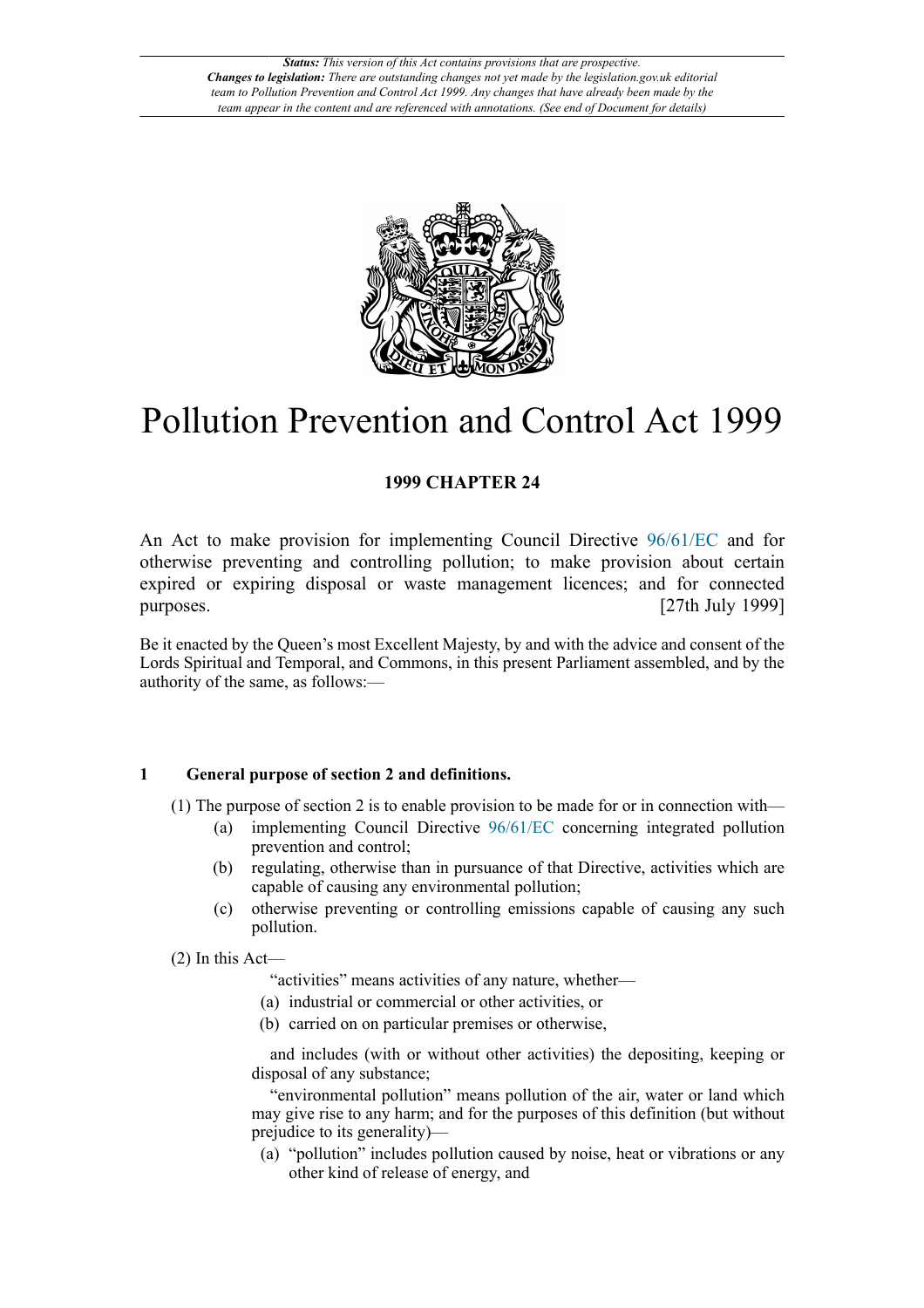

# Pollution Prevention and Control Act 1999

## **1999 CHAPTER 24**

An Act to make provision for implementing Council Directive [96/61/EC](http://www.opsi.gov.uk/legislation/european/directive/1996/0061) and for otherwise preventing and controlling pollution; to make provision about certain expired or expiring disposal or waste management licences; and for connected purposes. [27th July 1999]

Be it enacted by the Queen's most Excellent Majesty, by and with the advice and consent of the Lords Spiritual and Temporal, and Commons, in this present Parliament assembled, and by the authority of the same, as follows:—

## **1 General purpose of section 2 and definitions.**

- (1) The purpose of section 2 is to enable provision to be made for or in connection with—
	- (a) implementing Council Directive [96/61/EC](http://www.opsi.gov.uk/legislation/european/directive/1996/0061) concerning integrated pollution prevention and control;
	- (b) regulating, otherwise than in pursuance of that Directive, activities which are capable of causing any environmental pollution;
	- (c) otherwise preventing or controlling emissions capable of causing any such pollution.

(2) In this Act—

"activities" means activities of any nature, whether—

- (a) industrial or commercial or other activities, or
- (b) carried on on particular premises or otherwise,

and includes (with or without other activities) the depositing, keeping or disposal of any substance;

"environmental pollution" means pollution of the air, water or land which may give rise to any harm; and for the purposes of this definition (but without prejudice to its generality)—

(a) "pollution" includes pollution caused by noise, heat or vibrations or any other kind of release of energy, and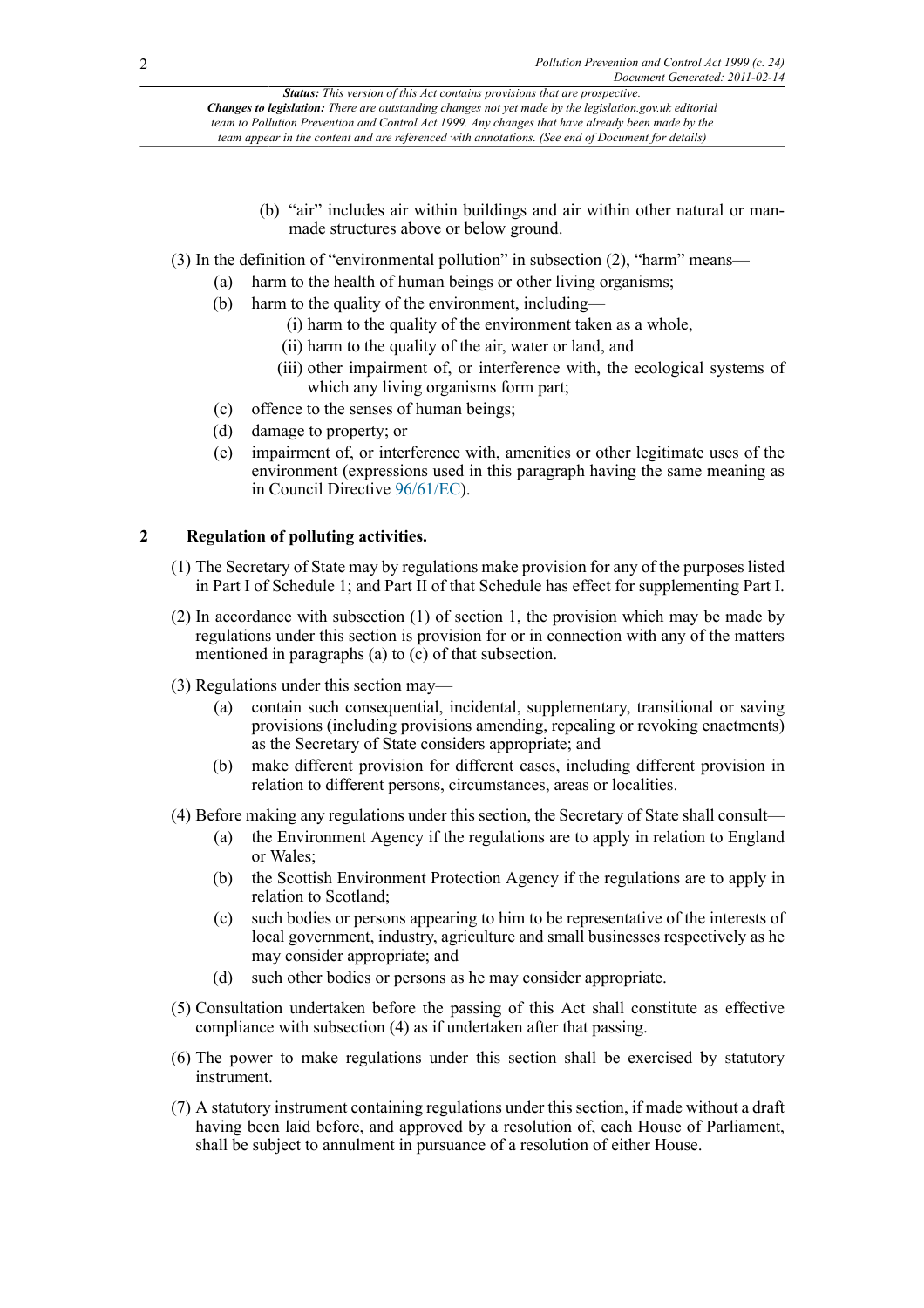- (b) "air" includes air within buildings and air within other natural or manmade structures above or below ground.
- (3) In the definition of "environmental pollution" in subsection (2), "harm" means—
	- (a) harm to the health of human beings or other living organisms;
	- (b) harm to the quality of the environment, including—
		- (i) harm to the quality of the environment taken as a whole,
		- (ii) harm to the quality of the air, water or land, and
		- (iii) other impairment of, or interference with, the ecological systems of which any living organisms form part;
	- (c) offence to the senses of human beings;
	- (d) damage to property; or
	- (e) impairment of, or interference with, amenities or other legitimate uses of the environment (expressions used in this paragraph having the same meaning as in Council Directive [96/61/EC\)](http://www.opsi.gov.uk/legislation/european/directive/1996/0061).

## **2 Regulation of polluting activities.**

- (1) The Secretary of State may by regulations make provision for any of the purposes listed in Part I of Schedule 1; and Part II of that Schedule has effect for supplementing Part I.
- (2) In accordance with subsection (1) of section 1, the provision which may be made by regulations under this section is provision for or in connection with any of the matters mentioned in paragraphs (a) to  $(c)$  of that subsection.
- (3) Regulations under this section may—
	- (a) contain such consequential, incidental, supplementary, transitional or saving provisions (including provisions amending, repealing or revoking enactments) as the Secretary of State considers appropriate; and
	- (b) make different provision for different cases, including different provision in relation to different persons, circumstances, areas or localities.
- (4) Before making any regulations under this section, the Secretary of State shall consult—
	- (a) the Environment Agency if the regulations are to apply in relation to England or Wales;
	- (b) the Scottish Environment Protection Agency if the regulations are to apply in relation to Scotland;
	- (c) such bodies or persons appearing to him to be representative of the interests of local government, industry, agriculture and small businesses respectively as he may consider appropriate; and
	- (d) such other bodies or persons as he may consider appropriate.
- (5) Consultation undertaken before the passing of this Act shall constitute as effective compliance with subsection (4) as if undertaken after that passing.
- (6) The power to make regulations under this section shall be exercised by statutory instrument.
- (7) A statutory instrument containing regulations under this section, if made without a draft having been laid before, and approved by a resolution of, each House of Parliament, shall be subject to annulment in pursuance of a resolution of either House.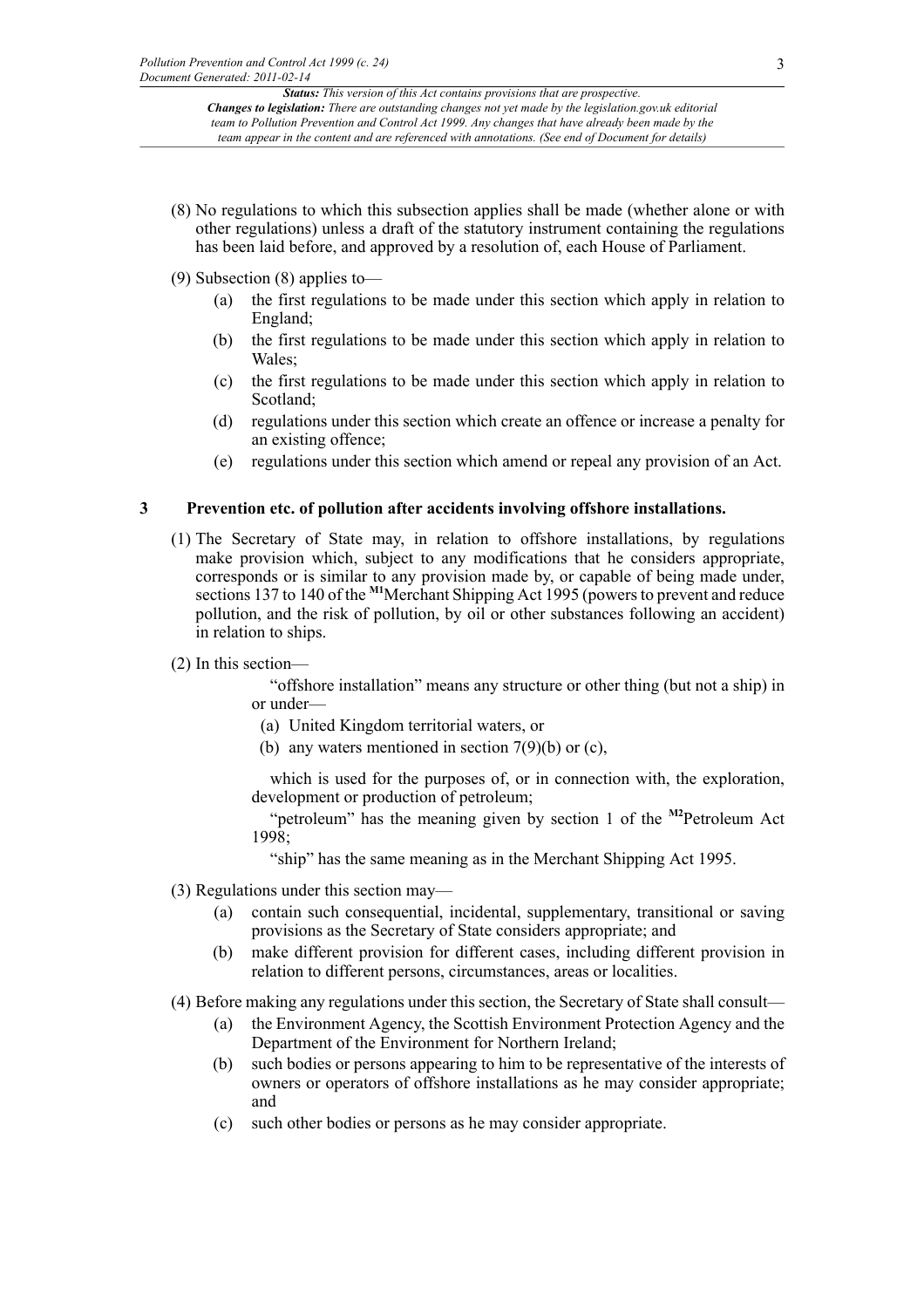- (8) No regulations to which this subsection applies shall be made (whether alone or with other regulations) unless a draft of the statutory instrument containing the regulations has been laid before, and approved by a resolution of, each House of Parliament.
- (9) Subsection (8) applies to—
	- (a) the first regulations to be made under this section which apply in relation to England;
	- (b) the first regulations to be made under this section which apply in relation to Wales;
	- (c) the first regulations to be made under this section which apply in relation to Scotland;
	- (d) regulations under this section which create an offence or increase a penalty for an existing offence;
	- (e) regulations under this section which amend or repeal any provision of an Act.

## **3 Prevention etc. of pollution after accidents involving offshore installations.**

- (1) The Secretary of State may, in relation to offshore installations, by regulations make provision which, subject to any modifications that he considers appropriate, corresponds or is similar to any provision made by, or capable of being made under, sections 137 to 140 of the <sup>[M1](#page-3-0)</sup>Merchant Shipping Act 1995 (powers to prevent and reduce pollution, and the risk of pollution, by oil or other substances following an accident) in relation to ships.
- (2) In this section—

<span id="page-2-0"></span>"offshore installation" means any structure or other thing (but not a ship) in or under—

- (a) United Kingdom territorial waters, or
- (b) any waters mentioned in section  $7(9)(b)$  or (c),

which is used for the purposes of, or in connection with, the exploration, development or production of petroleum;

"petroleum" has the meaning given by section 1 of the **[M2](#page-3-1)**Petroleum Act 1998;

<span id="page-2-1"></span>"ship" has the same meaning as in the Merchant Shipping Act 1995.

- (3) Regulations under this section may—
	- (a) contain such consequential, incidental, supplementary, transitional or saving provisions as the Secretary of State considers appropriate; and
	- (b) make different provision for different cases, including different provision in relation to different persons, circumstances, areas or localities.
- (4) Before making any regulations under this section, the Secretary of State shall consult—
	- (a) the Environment Agency, the Scottish Environment Protection Agency and the Department of the Environment for Northern Ireland;
	- (b) such bodies or persons appearing to him to be representative of the interests of owners or operators of offshore installations as he may consider appropriate; and
	- (c) such other bodies or persons as he may consider appropriate.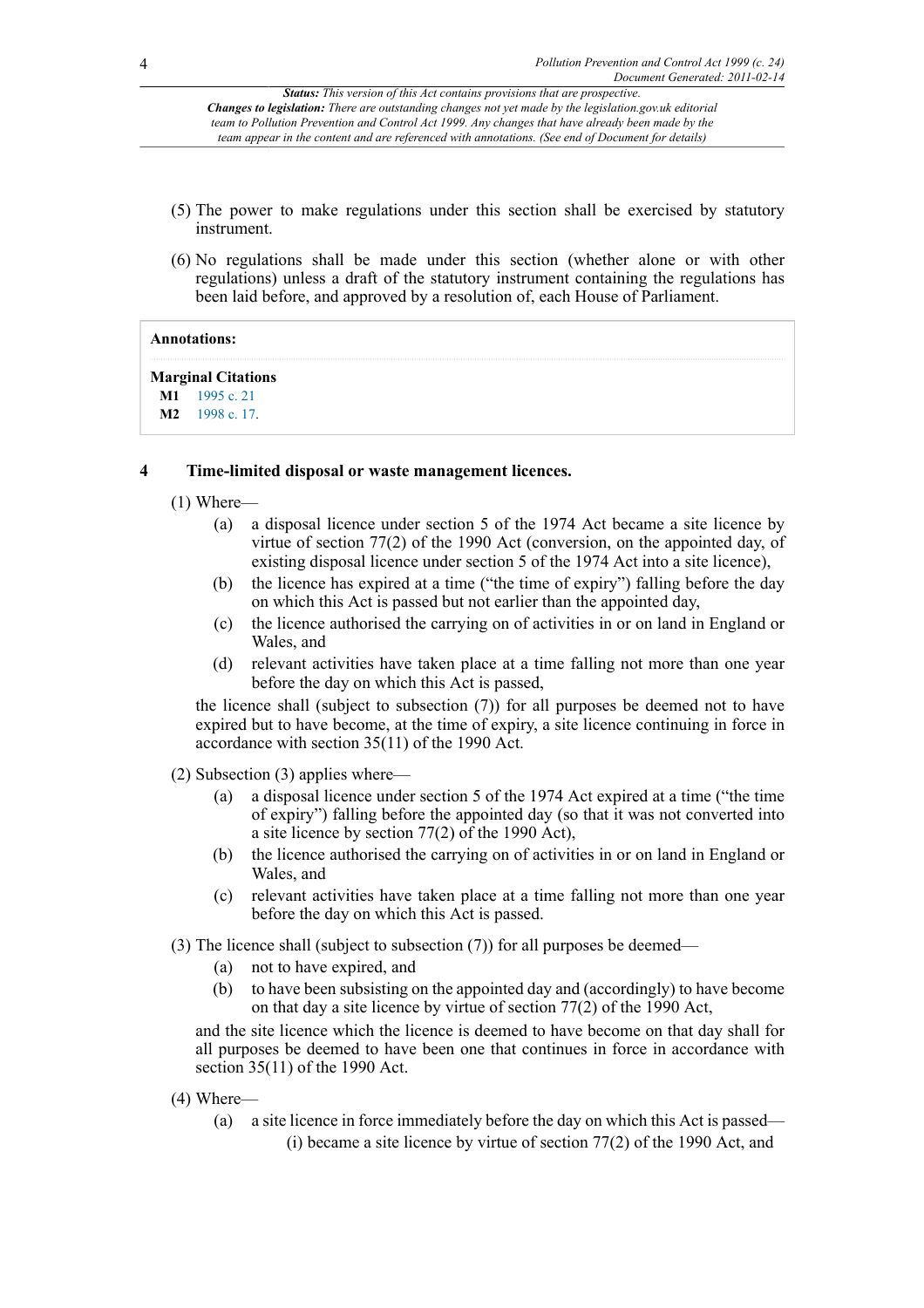- (5) The power to make regulations under this section shall be exercised by statutory instrument.
- (6) No regulations shall be made under this section (whether alone or with other regulations) unless a draft of the statutory instrument containing the regulations has been laid before, and approved by a resolution of, each House of Parliament.

#### **Annotations:**

#### **Marginal Citations**

<span id="page-3-1"></span><span id="page-3-0"></span>**[M1](#page-2-0)** [1995 c. 21](http://www.legislation.gov.uk/id/ukpga/1995/21) **[M2](#page-2-1)** [1998 c. 17](http://www.legislation.gov.uk/id/ukpga/1998/17).

## **4 Time-limited disposal or waste management licences.**

- (1) Where—
	- (a) a disposal licence under section 5 of the 1974 Act became a site licence by virtue of section 77(2) of the 1990 Act (conversion, on the appointed day, of existing disposal licence under section 5 of the 1974 Act into a site licence),
	- (b) the licence has expired at a time ("the time of expiry") falling before the day on which this Act is passed but not earlier than the appointed day,
	- (c) the licence authorised the carrying on of activities in or on land in England or Wales, and
	- (d) relevant activities have taken place at a time falling not more than one year before the day on which this Act is passed,

the licence shall (subject to subsection (7)) for all purposes be deemed not to have expired but to have become, at the time of expiry, a site licence continuing in force in accordance with section 35(11) of the 1990 Act.

- (2) Subsection (3) applies where—
	- (a) a disposal licence under section 5 of the 1974 Act expired at a time ("the time of expiry") falling before the appointed day (so that it was not converted into a site licence by section 77(2) of the 1990 Act),
	- (b) the licence authorised the carrying on of activities in or on land in England or Wales, and
	- (c) relevant activities have taken place at a time falling not more than one year before the day on which this Act is passed.
- (3) The licence shall (subject to subsection (7)) for all purposes be deemed—
	- (a) not to have expired, and
	- (b) to have been subsisting on the appointed day and (accordingly) to have become on that day a site licence by virtue of section 77(2) of the 1990 Act,

and the site licence which the licence is deemed to have become on that day shall for all purposes be deemed to have been one that continues in force in accordance with section 35(11) of the 1990 Act.

- (4) Where—
	- (a) a site licence in force immediately before the day on which this Act is passed— (i) became a site licence by virtue of section 77(2) of the 1990 Act, and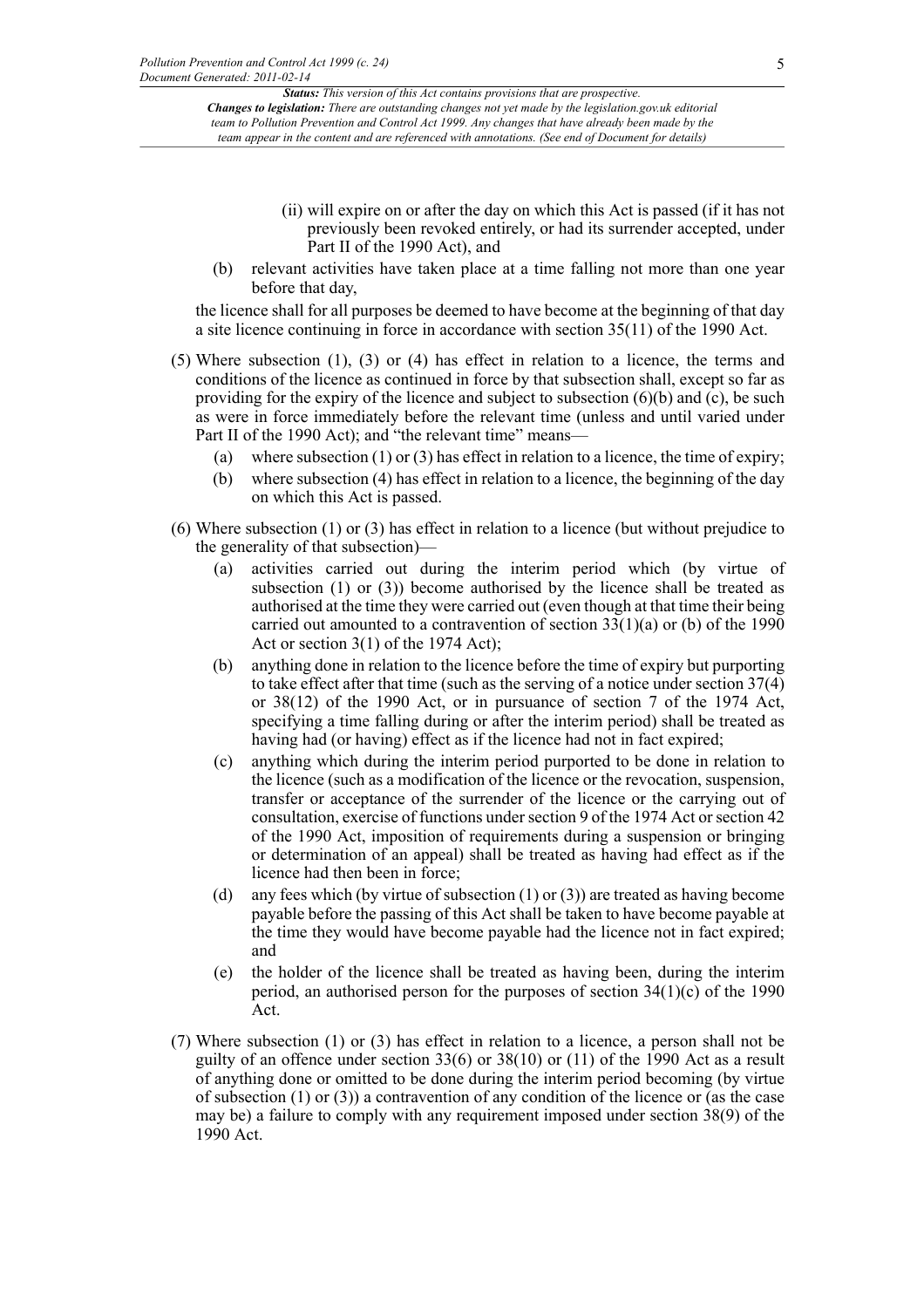- (ii) will expire on or after the day on which this Act is passed (if it has not previously been revoked entirely, or had its surrender accepted, under Part II of the 1990 Act), and
- (b) relevant activities have taken place at a time falling not more than one year before that day,

the licence shall for all purposes be deemed to have become at the beginning of that day a site licence continuing in force in accordance with section 35(11) of the 1990 Act.

- (5) Where subsection (1), (3) or (4) has effect in relation to a licence, the terms and conditions of the licence as continued in force by that subsection shall, except so far as providing for the expiry of the licence and subject to subsection (6)(b) and (c), be such as were in force immediately before the relevant time (unless and until varied under Part II of the 1990 Act); and "the relevant time" means—
	- (a) where subsection (1) or (3) has effect in relation to a licence, the time of expiry;
	- (b) where subsection (4) has effect in relation to a licence, the beginning of the day on which this Act is passed.
- (6) Where subsection (1) or (3) has effect in relation to a licence (but without prejudice to the generality of that subsection)—
	- (a) activities carried out during the interim period which (by virtue of subsection (1) or (3)) become authorised by the licence shall be treated as authorised at the time they were carried out (even though at that time their being carried out amounted to a contravention of section 33(1)(a) or (b) of the 1990 Act or section 3(1) of the 1974 Act);
	- (b) anything done in relation to the licence before the time of expiry but purporting to take effect after that time (such as the serving of a notice under section 37(4) or 38(12) of the 1990 Act, or in pursuance of section 7 of the 1974 Act, specifying a time falling during or after the interim period) shall be treated as having had (or having) effect as if the licence had not in fact expired;
	- (c) anything which during the interim period purported to be done in relation to the licence (such as a modification of the licence or the revocation, suspension, transfer or acceptance of the surrender of the licence or the carrying out of consultation, exercise of functions under section 9 of the 1974 Act or section 42 of the 1990 Act, imposition of requirements during a suspension or bringing or determination of an appeal) shall be treated as having had effect as if the licence had then been in force;
	- (d) any fees which (by virtue of subsection (1) or (3)) are treated as having become payable before the passing of this Act shall be taken to have become payable at the time they would have become payable had the licence not in fact expired; and
	- (e) the holder of the licence shall be treated as having been, during the interim period, an authorised person for the purposes of section 34(1)(c) of the 1990 Act.
- (7) Where subsection (1) or (3) has effect in relation to a licence, a person shall not be guilty of an offence under section 33(6) or 38(10) or (11) of the 1990 Act as a result of anything done or omitted to be done during the interim period becoming (by virtue of subsection  $(1)$  or  $(3)$ ) a contravention of any condition of the licence or (as the case may be) a failure to comply with any requirement imposed under section 38(9) of the 1990 Act.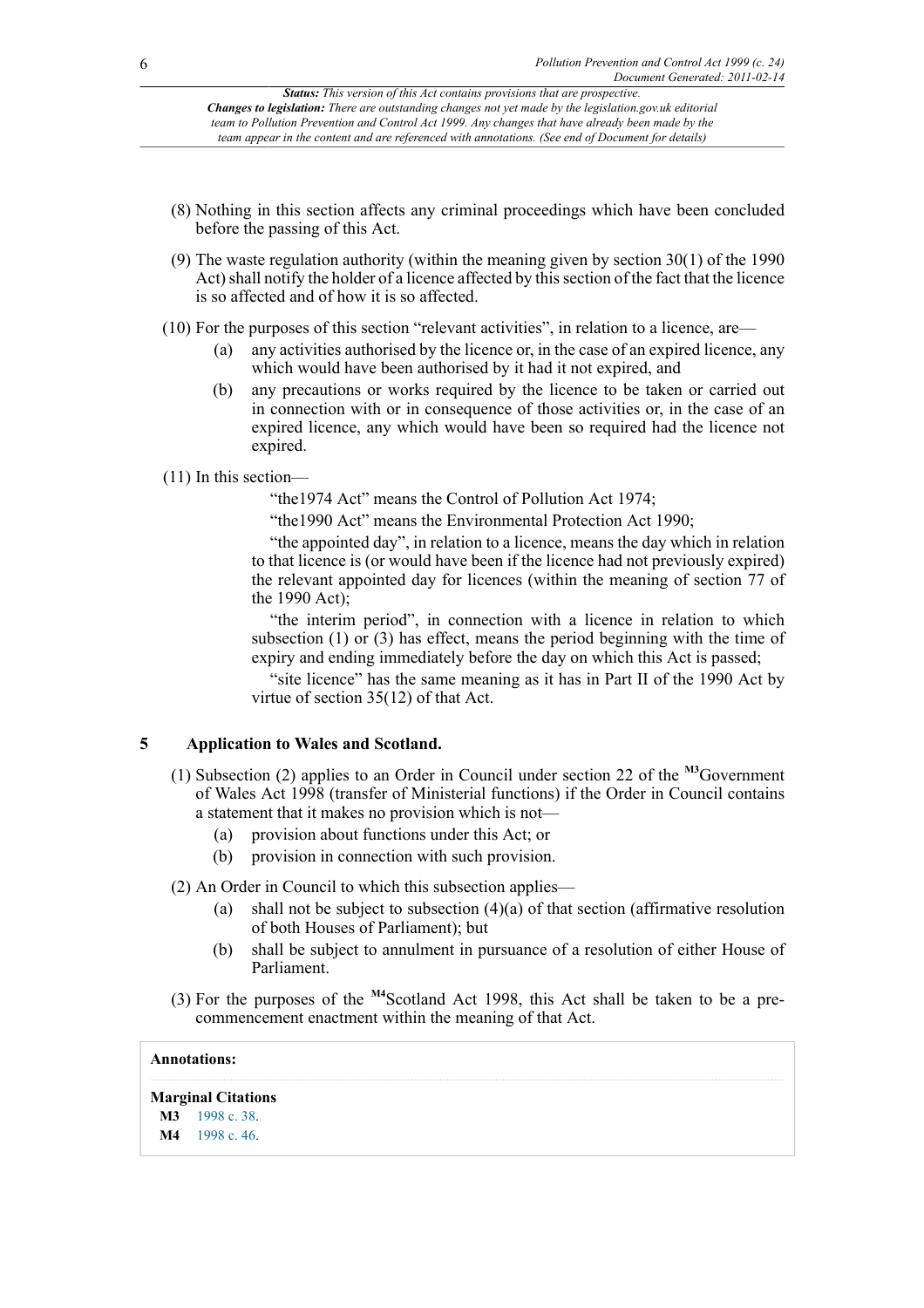- (8) Nothing in this section affects any criminal proceedings which have been concluded before the passing of this Act.
- (9) The waste regulation authority (within the meaning given by section 30(1) of the 1990 Act) shall notify the holder of a licence affected by this section of the fact that the licence is so affected and of how it is so affected.
- (10) For the purposes of this section "relevant activities", in relation to a licence, are—
	- (a) any activities authorised by the licence or, in the case of an expired licence, any which would have been authorised by it had it not expired, and
	- (b) any precautions or works required by the licence to be taken or carried out in connection with or in consequence of those activities or, in the case of an expired licence, any which would have been so required had the licence not expired.

## (11) In this section—

"the1974 Act" means the Control of Pollution Act 1974;

"the1990 Act" means the Environmental Protection Act 1990;

"the appointed day", in relation to a licence, means the day which in relation to that licence is (or would have been if the licence had not previously expired) the relevant appointed day for licences (within the meaning of section 77 of the 1990 Act);

"the interim period", in connection with a licence in relation to which subsection (1) or (3) has effect, means the period beginning with the time of expiry and ending immediately before the day on which this Act is passed;

<span id="page-5-2"></span>"site licence" has the same meaning as it has in Part II of the 1990 Act by virtue of section 35(12) of that Act.

## **5 Application to Wales and Scotland.**

- (1) Subsection (2) applies to an Order in Council under section 22 of the **[M3](#page-5-0)**Government of Wales Act 1998 (transfer of Ministerial functions) if the Order in Council contains a statement that it makes no provision which is not—
	- (a) provision about functions under this Act; or
	- (b) provision in connection with such provision.
- (2) An Order in Council to which this subsection applies—
	- (a) shall not be subject to subsection (4)(a) of that section (affirmative resolution of both Houses of Parliament); but
	- (b) shall be subject to annulment in pursuance of a resolution of either House of Parliament.
- <span id="page-5-3"></span>(3) For the purposes of the **[M4](#page-5-1)**Scotland Act 1998, this Act shall be taken to be a precommencement enactment within the meaning of that Act.

## **Annotations:**

## **Marginal Citations**

<span id="page-5-0"></span>**[M3](#page-5-2)** [1998 c. 38](http://www.legislation.gov.uk/id/ukpga/1998/38).

<span id="page-5-1"></span>**[M4](#page-5-3)** [1998 c. 46](http://www.legislation.gov.uk/id/ukpga/1998/46).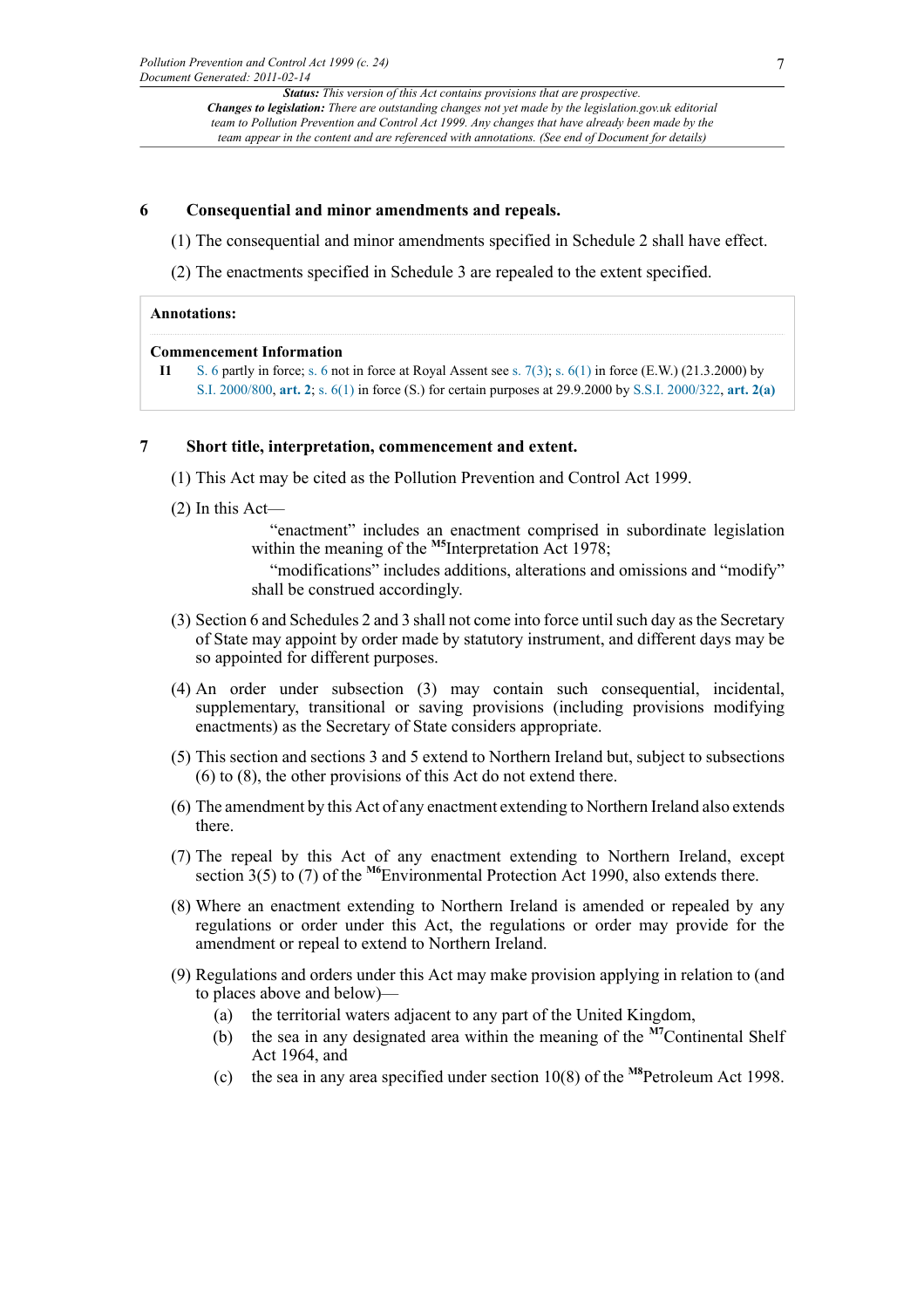## **6 Consequential and minor amendments and repeals.**

- (1) The consequential and minor amendments specified in Schedule 2 shall have effect.
- (2) The enactments specified in Schedule 3 are repealed to the extent specified.

#### **Annotations:**

#### **Commencement Information**

**I1** [S. 6](http://www.legislation.gov.uk/id/ukpga/1999/24/section/6) partly in force; [s. 6](http://www.legislation.gov.uk/id/ukpga/1999/24/section/6) not in force at Royal Assent see [s. 7\(3\)](http://www.legislation.gov.uk/id/ukpga/1999/24/section/7/3); s.  $6(1)$  in force (E.W.) (21.3.2000) by [S.I. 2000/800](http://www.legislation.gov.uk/id/uksi/2000/800), **[art. 2](http://www.legislation.gov.uk/id/uksi/2000/800/article/2)**; [s. 6\(1\)](http://www.legislation.gov.uk/id/ukpga/1999/24/section/6/1) in force (S.) for certain purposes at 29.9.2000 by [S.S.I. 2000/322,](http://www.legislation.gov.uk/id/ssi/2000/322) **[art. 2\(a\)](http://www.legislation.gov.uk/id/ssi/2000/322/article/2/a)**

#### **7 Short title, interpretation, commencement and extent.**

- (1) This Act may be cited as the Pollution Prevention and Control Act 1999.
- (2) In this Act—

<span id="page-6-0"></span>"enactment" includes an enactment comprised in subordinate legislation within the meaning of the <sup>[M5](#page-7-0)</sup>Interpretation Act 1978; "modifications" includes additions, alterations and omissions and "modify" shall be construed accordingly.

- (3) Section 6 and Schedules 2 and 3 shall not come into force until such day as the Secretary of State may appoint by order made by statutory instrument, and different days may be so appointed for different purposes.
- (4) An order under subsection (3) may contain such consequential, incidental, supplementary, transitional or saving provisions (including provisions modifying enactments) as the Secretary of State considers appropriate.
- (5) This section and sections 3 and 5 extend to Northern Ireland but, subject to subsections (6) to (8), the other provisions of this Act do not extend there.
- (6) The amendment by this Act of any enactment extending to Northern Ireland also extends there.
- <span id="page-6-1"></span>(7) The repeal by this Act of any enactment extending to Northern Ireland, except section 3(5) to (7) of the **[M6](#page-7-1)**Environmental Protection Act 1990, also extends there.
- (8) Where an enactment extending to Northern Ireland is amended or repealed by any regulations or order under this Act, the regulations or order may provide for the amendment or repeal to extend to Northern Ireland.
- <span id="page-6-3"></span><span id="page-6-2"></span>(9) Regulations and orders under this Act may make provision applying in relation to (and to places above and below)—
	- (a) the territorial waters adjacent to any part of the United Kingdom,
	- (b) the sea in any designated area within the meaning of the **[M7](#page-7-2)**Continental Shelf Act 1964, and
	- (c) the sea in any area specified under section 10(8) of the **[M8](#page-7-3)**Petroleum Act 1998.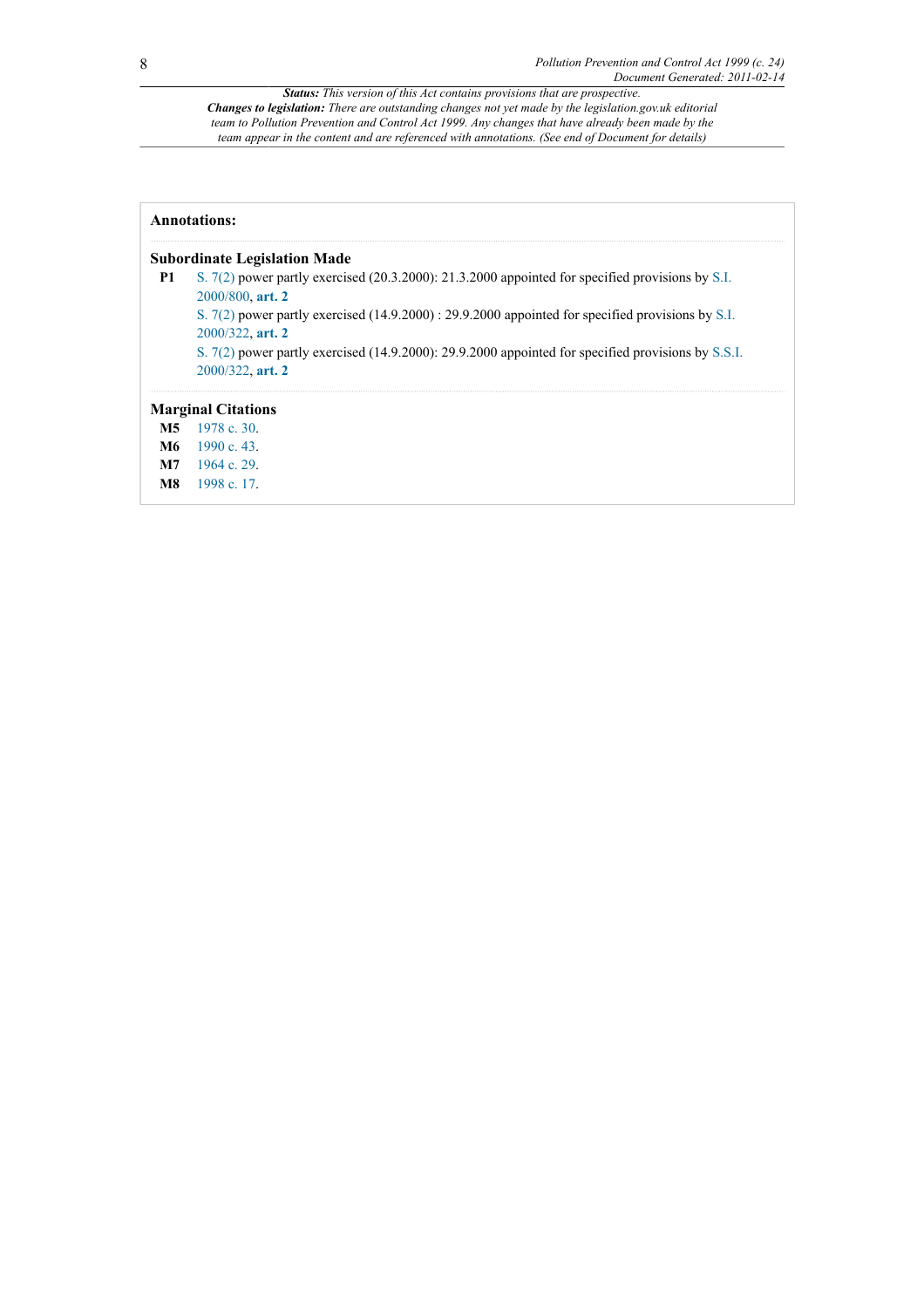| <b>Annotations:</b>                 |                                                                                                                              |  |  |  |  |
|-------------------------------------|------------------------------------------------------------------------------------------------------------------------------|--|--|--|--|
| <b>Subordinate Legislation Made</b> |                                                                                                                              |  |  |  |  |
| P1                                  | S. $7(2)$ power partly exercised (20.3.2000): 21.3.2000 appointed for specified provisions by S.I.<br>2000/800. art. 2       |  |  |  |  |
|                                     | S. $7(2)$ power partly exercised $(14.9.2000)$ : 29.9.2000 appointed for specified provisions by S.I.<br>$2000/322$ , art. 2 |  |  |  |  |
|                                     | S. $7(2)$ power partly exercised (14.9.2000): 29.9.2000 appointed for specified provisions by S.S.I.<br>$2000/322$ , art. 2  |  |  |  |  |
|                                     | <b>Marginal Citations</b>                                                                                                    |  |  |  |  |
| M5                                  | 1978c.30.                                                                                                                    |  |  |  |  |
|                                     | $M6$ 1990 c. 43.                                                                                                             |  |  |  |  |
| M7                                  | 1964c29                                                                                                                      |  |  |  |  |

<span id="page-7-3"></span><span id="page-7-2"></span><span id="page-7-1"></span><span id="page-7-0"></span>**[M8](#page-6-3)** [1998 c. 17](http://www.legislation.gov.uk/id/ukpga/1998/17).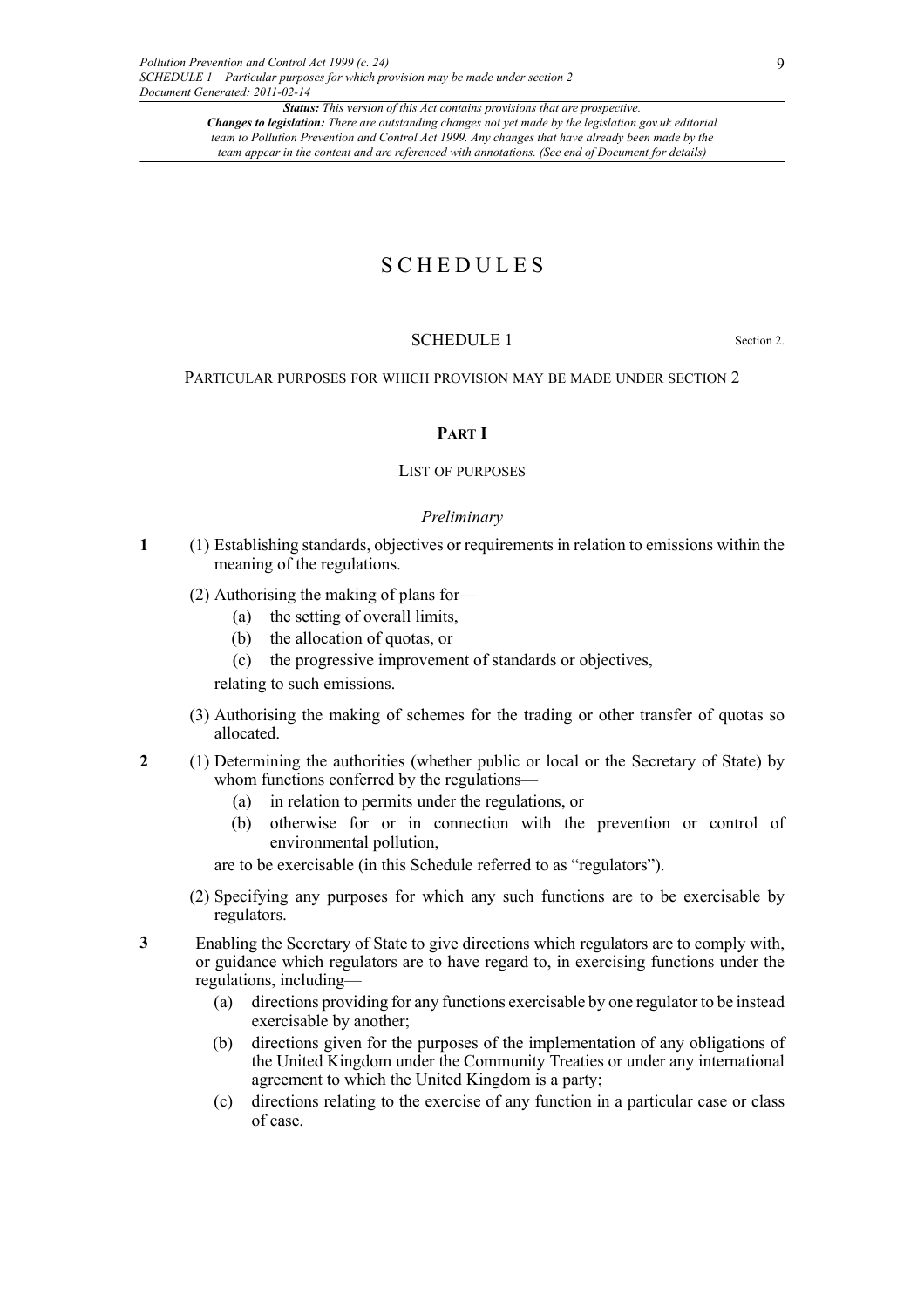## S C H E D U L E S

## SCHEDULE 1 Section 2.

PARTICULAR PURPOSES FOR WHICH PROVISION MAY BE MADE UNDER SECTION 2

## **PART I**

## LIST OF PURPOSES

#### *Preliminary*

- **1** (1) Establishing standards, objectives or requirements in relation to emissions within the meaning of the regulations.
	- (2) Authorising the making of plans for—
		- (a) the setting of overall limits,
		- (b) the allocation of quotas, or
		- (c) the progressive improvement of standards or objectives,

relating to such emissions.

- (3) Authorising the making of schemes for the trading or other transfer of quotas so allocated.
- **2** (1) Determining the authorities (whether public or local or the Secretary of State) by whom functions conferred by the regulations–
	- (a) in relation to permits under the regulations, or
	- (b) otherwise for or in connection with the prevention or control of environmental pollution,

are to be exercisable (in this Schedule referred to as "regulators").

(2) Specifying any purposes for which any such functions are to be exercisable by regulators.

**3** Enabling the Secretary of State to give directions which regulators are to comply with, or guidance which regulators are to have regard to, in exercising functions under the regulations, including—

- (a) directions providing for any functions exercisable by one regulator to be instead exercisable by another;
- (b) directions given for the purposes of the implementation of any obligations of the United Kingdom under the Community Treaties or under any international agreement to which the United Kingdom is a party;
- (c) directions relating to the exercise of any function in a particular case or class of case.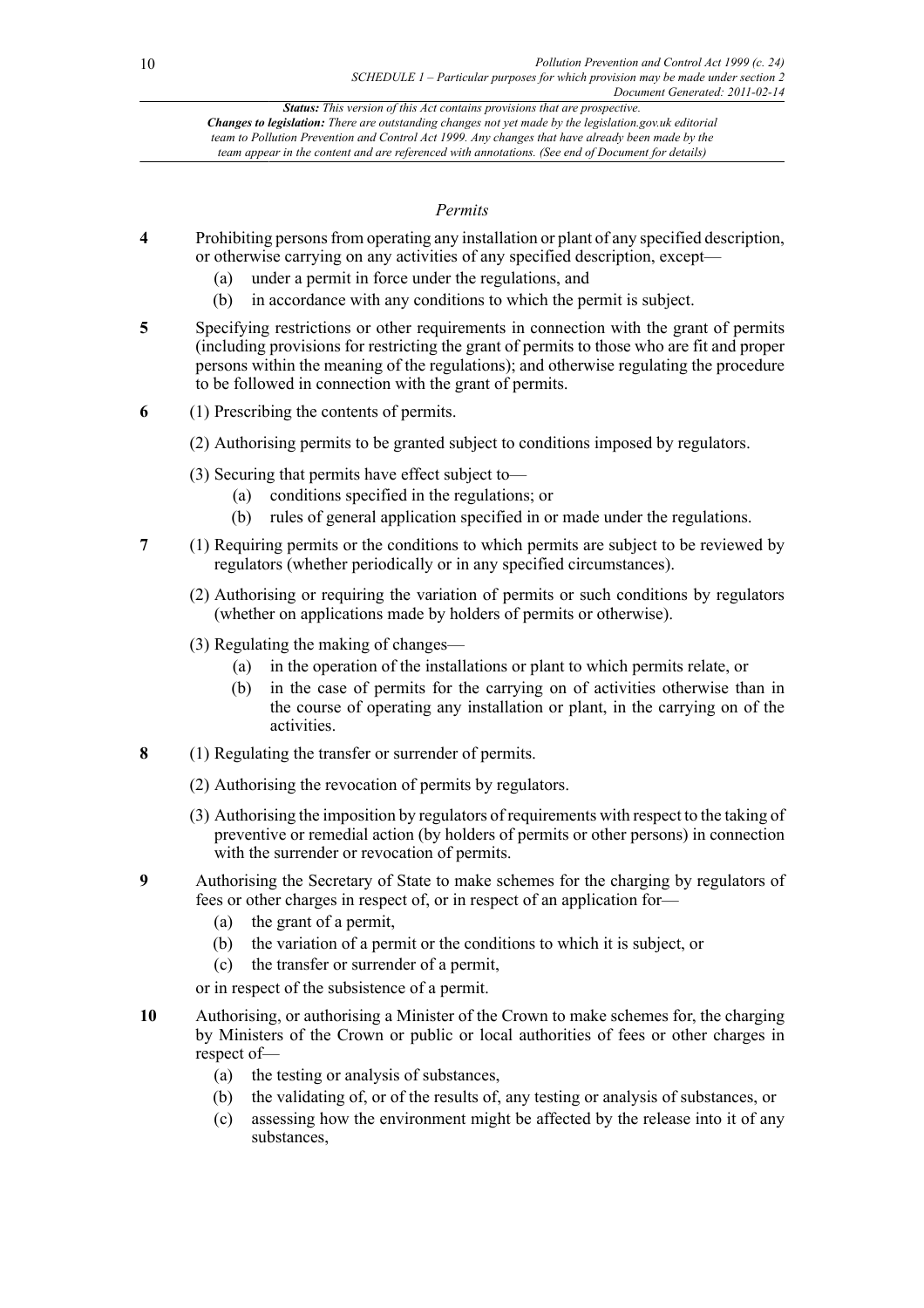## *Permits*

- **4** Prohibiting persons from operating any installation or plant of any specified description, or otherwise carrying on any activities of any specified description, except—
	- (a) under a permit in force under the regulations, and
	- (b) in accordance with any conditions to which the permit is subject.
- **5** Specifying restrictions or other requirements in connection with the grant of permits (including provisions for restricting the grant of permits to those who are fit and proper persons within the meaning of the regulations); and otherwise regulating the procedure to be followed in connection with the grant of permits.
- **6** (1) Prescribing the contents of permits.
	- (2) Authorising permits to be granted subject to conditions imposed by regulators.
	- (3) Securing that permits have effect subject to—
		- (a) conditions specified in the regulations; or
		- (b) rules of general application specified in or made under the regulations.
- **7** (1) Requiring permits or the conditions to which permits are subject to be reviewed by regulators (whether periodically or in any specified circumstances).
	- (2) Authorising or requiring the variation of permits or such conditions by regulators (whether on applications made by holders of permits or otherwise).
	- (3) Regulating the making of changes—
		- (a) in the operation of the installations or plant to which permits relate, or
		- (b) in the case of permits for the carrying on of activities otherwise than in the course of operating any installation or plant, in the carrying on of the activities.
- **8** (1) Regulating the transfer or surrender of permits.
	- (2) Authorising the revocation of permits by regulators.
	- (3) Authorising the imposition by regulators of requirements with respect to the taking of preventive or remedial action (by holders of permits or other persons) in connection with the surrender or revocation of permits.
- **9** Authorising the Secretary of State to make schemes for the charging by regulators of fees or other charges in respect of, or in respect of an application for—
	- (a) the grant of a permit,
	- (b) the variation of a permit or the conditions to which it is subject, or
	- (c) the transfer or surrender of a permit,

or in respect of the subsistence of a permit.

- **10** Authorising, or authorising a Minister of the Crown to make schemes for, the charging by Ministers of the Crown or public or local authorities of fees or other charges in respect of—
	- (a) the testing or analysis of substances,
	- (b) the validating of, or of the results of, any testing or analysis of substances, or
	- (c) assessing how the environment might be affected by the release into it of any substances,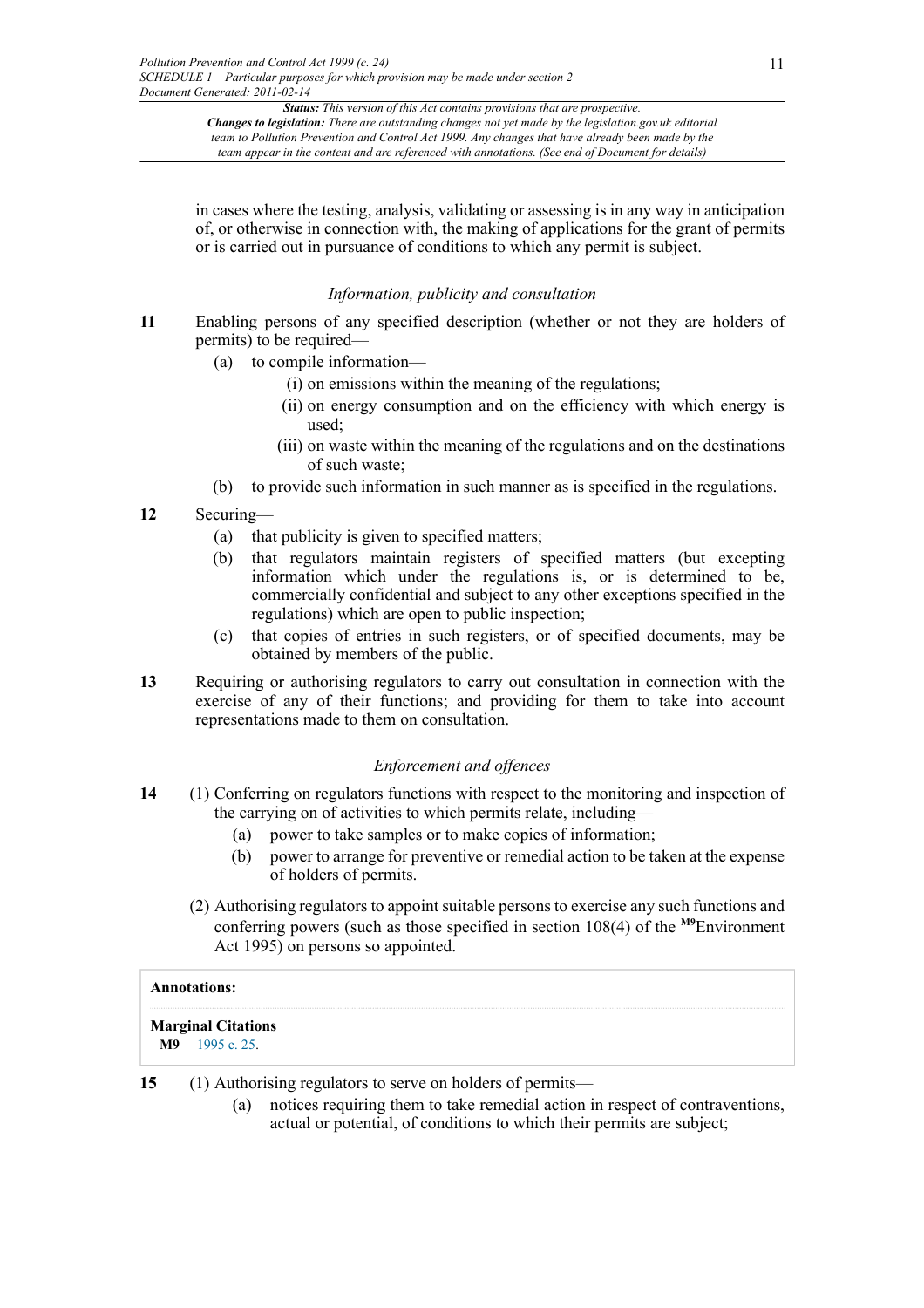in cases where the testing, analysis, validating or assessing is in any way in anticipation of, or otherwise in connection with, the making of applications for the grant of permits or is carried out in pursuance of conditions to which any permit is subject.

## *Information, publicity and consultation*

- **11** Enabling persons of any specified description (whether or not they are holders of permits) to be required—
	- (a) to compile information—
		- (i) on emissions within the meaning of the regulations;
		- (ii) on energy consumption and on the efficiency with which energy is used;
		- (iii) on waste within the meaning of the regulations and on the destinations of such waste;
	- (b) to provide such information in such manner as is specified in the regulations.

## **12** Securing—

- (a) that publicity is given to specified matters;
- (b) that regulators maintain registers of specified matters (but excepting information which under the regulations is, or is determined to be, commercially confidential and subject to any other exceptions specified in the regulations) which are open to public inspection;
- (c) that copies of entries in such registers, or of specified documents, may be obtained by members of the public.
- **13** Requiring or authorising regulators to carry out consultation in connection with the exercise of any of their functions; and providing for them to take into account representations made to them on consultation.

## <span id="page-10-1"></span>*Enforcement and offences*

- **14** (1) Conferring on regulators functions with respect to the monitoring and inspection of the carrying on of activities to which permits relate, including—
	- (a) power to take samples or to make copies of information;
	- (b) power to arrange for preventive or remedial action to be taken at the expense of holders of permits.
	- (2) Authorising regulators to appoint suitable persons to exercise any such functions and conferring powers (such as those specified in section 108(4) of the **[M9](#page-10-0)**Environment Act 1995) on persons so appointed.

## **Annotations:**

## **Marginal Citations**

<span id="page-10-0"></span>**[M9](#page-10-1)** [1995 c. 25](http://www.legislation.gov.uk/id/ukpga/1995/25).

**15** (1) Authorising regulators to serve on holders of permits—

(a) notices requiring them to take remedial action in respect of contraventions, actual or potential, of conditions to which their permits are subject;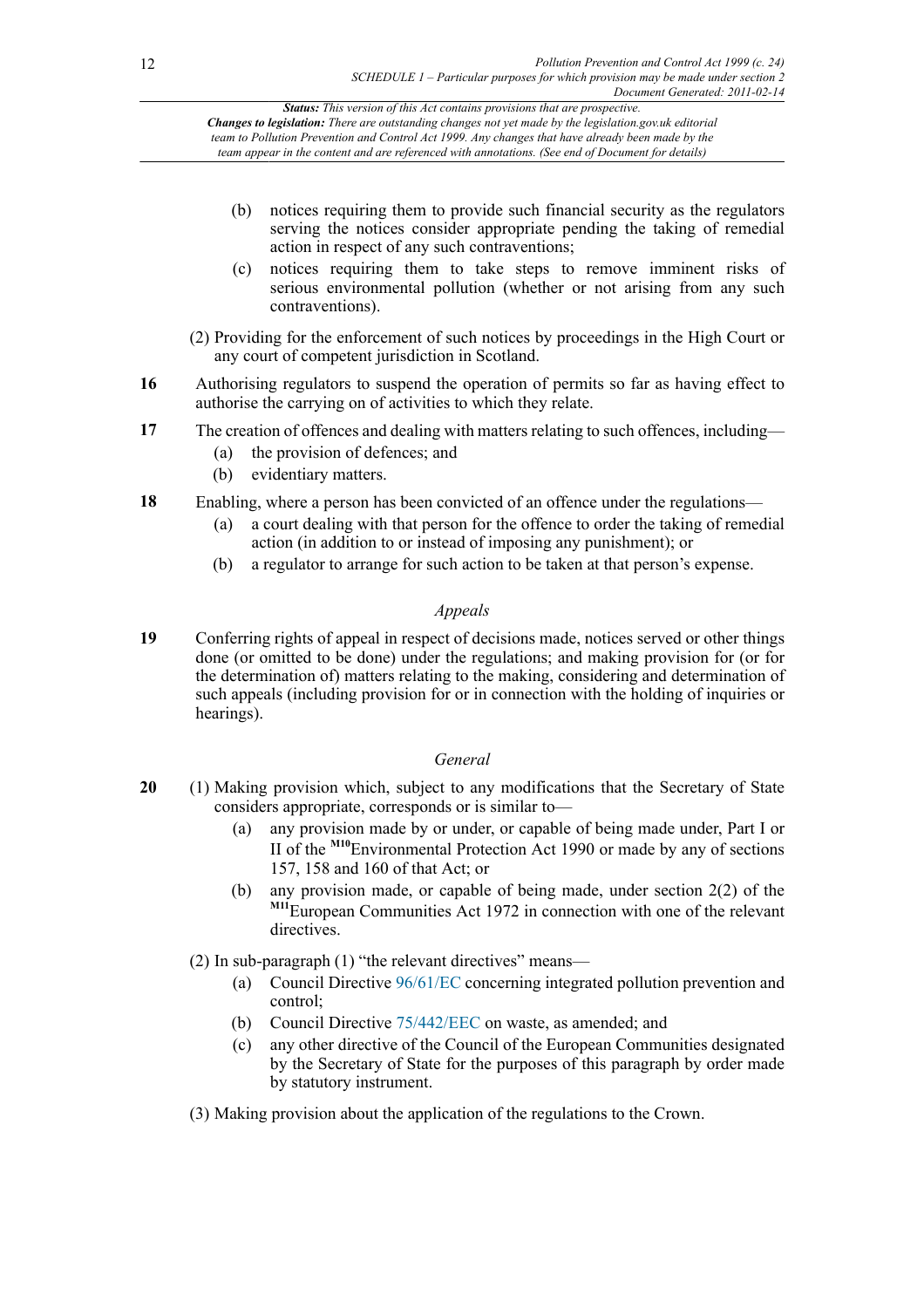- (b) notices requiring them to provide such financial security as the regulators serving the notices consider appropriate pending the taking of remedial action in respect of any such contraventions;
- (c) notices requiring them to take steps to remove imminent risks of serious environmental pollution (whether or not arising from any such contraventions).
- (2) Providing for the enforcement of such notices by proceedings in the High Court or any court of competent jurisdiction in Scotland.
- **16** Authorising regulators to suspend the operation of permits so far as having effect to authorise the carrying on of activities to which they relate.
- **17** The creation of offences and dealing with matters relating to such offences, including—
	- (a) the provision of defences; and
	- (b) evidentiary matters.
- **18** Enabling, where a person has been convicted of an offence under the regulations—
	- (a) a court dealing with that person for the offence to order the taking of remedial action (in addition to or instead of imposing any punishment); or
	- (b) a regulator to arrange for such action to be taken at that person's expense.

## *Appeals*

**19** Conferring rights of appeal in respect of decisions made, notices served or other things done (or omitted to be done) under the regulations; and making provision for (or for the determination of) matters relating to the making, considering and determination of such appeals (including provision for or in connection with the holding of inquiries or hearings).

## <span id="page-11-0"></span>*General*

- **20** (1) Making provision which, subject to any modifications that the Secretary of State considers appropriate, corresponds or is similar to—
	- (a) any provision made by or under, or capable of being made under, Part I or II of the **[M10](#page-12-0)**Environmental Protection Act 1990 or made by any of sections 157, 158 and 160 of that Act; or
	- (b) any provision made, or capable of being made, under section 2(2) of the **[M11](#page-12-1)**European Communities Act 1972 in connection with one of the relevant directives

(2) In sub-paragraph (1) "the relevant directives" means—

- <span id="page-11-1"></span>(a) Council Directive [96/61/EC](http://www.opsi.gov.uk/legislation/european/directive/1996/0061) concerning integrated pollution prevention and control;
- (b) Council Directive [75/442/EEC](http://www.opsi.gov.uk/legislation/european/directive/1975/0442) on waste, as amended; and
- (c) any other directive of the Council of the European Communities designated by the Secretary of State for the purposes of this paragraph by order made by statutory instrument.
- (3) Making provision about the application of the regulations to the Crown.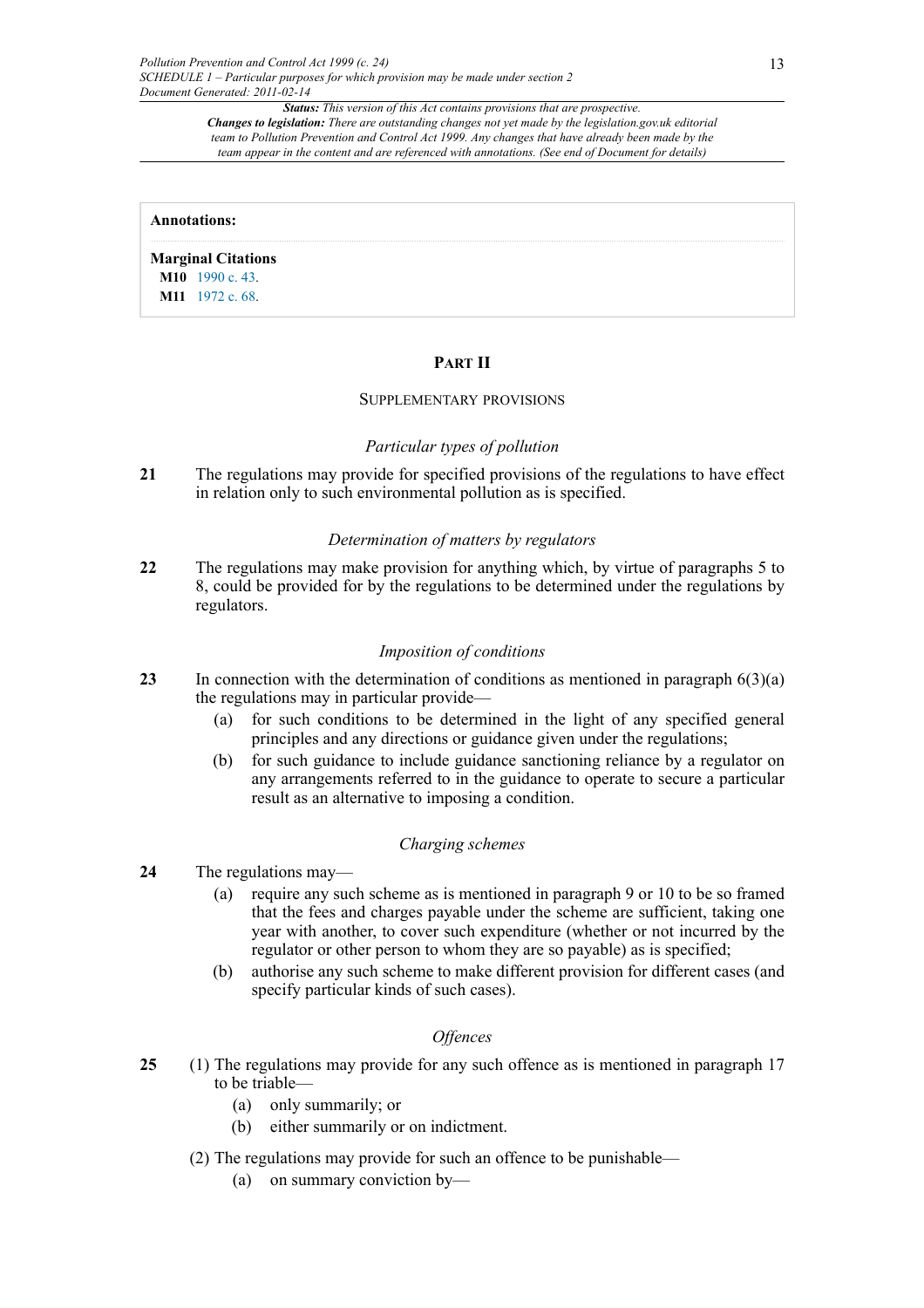#### **Annotations:**

<span id="page-12-1"></span><span id="page-12-0"></span>**Marginal Citations [M10](#page-11-0)** [1990 c. 43](http://www.legislation.gov.uk/id/ukpga/1990/43). **[M11](#page-11-1)** [1972 c. 68](http://www.legislation.gov.uk/id/ukpga/1972/68).

#### **PART II**

#### SUPPLEMENTARY PROVISIONS

#### *Particular types of pollution*

**21** The regulations may provide for specified provisions of the regulations to have effect in relation only to such environmental pollution as is specified.

#### *Determination of matters by regulators*

**22** The regulations may make provision for anything which, by virtue of paragraphs 5 to 8, could be provided for by the regulations to be determined under the regulations by regulators.

#### *Imposition of conditions*

- **23** In connection with the determination of conditions as mentioned in paragraph 6(3)(a) the regulations may in particular provide—
	- (a) for such conditions to be determined in the light of any specified general principles and any directions or guidance given under the regulations;
	- (b) for such guidance to include guidance sanctioning reliance by a regulator on any arrangements referred to in the guidance to operate to secure a particular result as an alternative to imposing a condition.

#### *Charging schemes*

- **24** The regulations may—
	- (a) require any such scheme as is mentioned in paragraph 9 or 10 to be so framed that the fees and charges payable under the scheme are sufficient, taking one year with another, to cover such expenditure (whether or not incurred by the regulator or other person to whom they are so payable) as is specified;
	- (b) authorise any such scheme to make different provision for different cases (and specify particular kinds of such cases).

## *Offences*

- **25** (1) The regulations may provide for any such offence as is mentioned in paragraph 17 to be triable—
	- (a) only summarily; or
	- (b) either summarily or on indictment.
	- (2) The regulations may provide for such an offence to be punishable—
		- (a) on summary conviction by—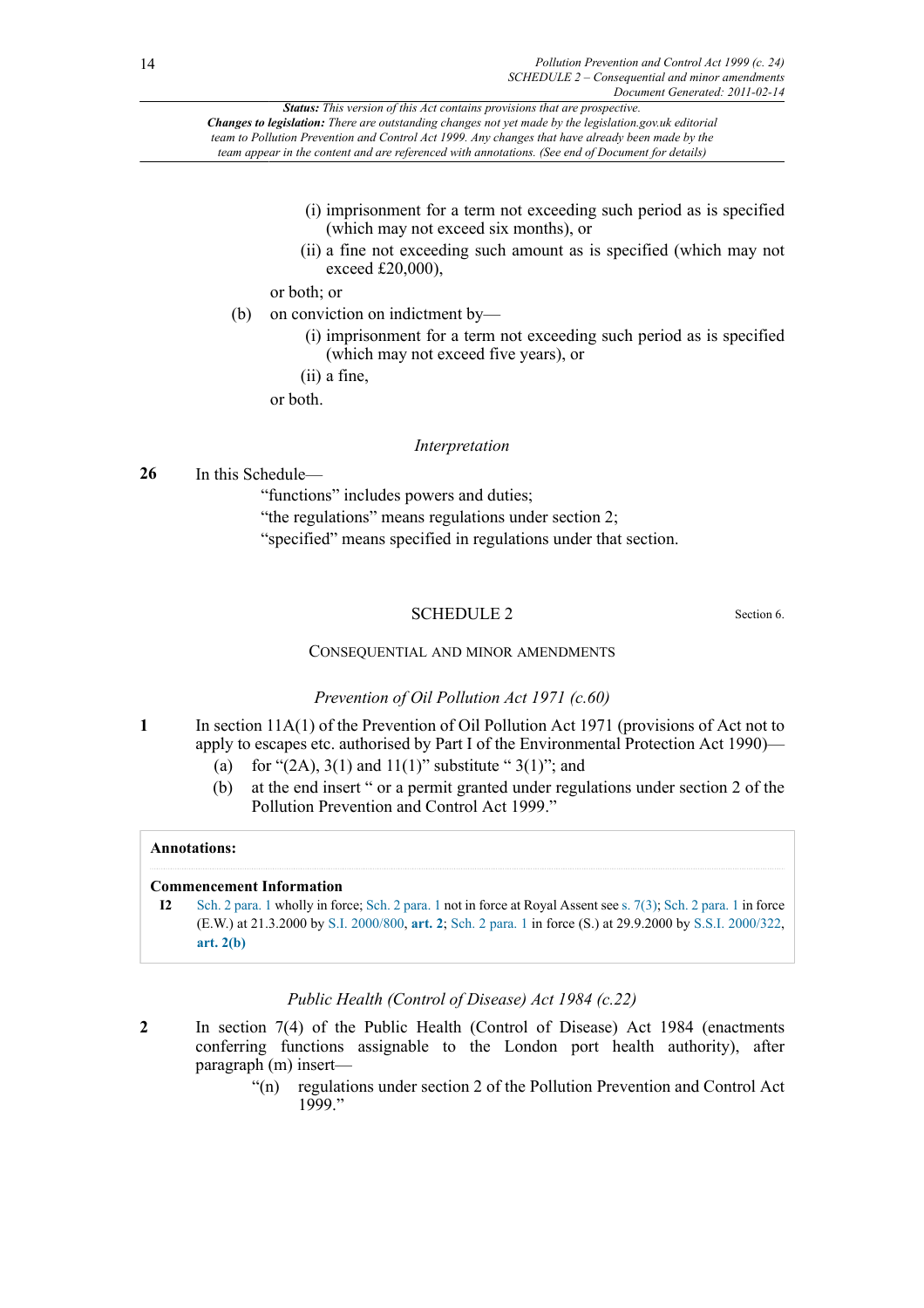*Status: This version of this Act contains provisions that are prospective.*

*Changes to legislation: There are outstanding changes not yet made by the legislation.gov.uk editorial team to Pollution Prevention and Control Act 1999. Any changes that have already been made by the*

*team appear in the content and are referenced with annotations. (See end of Document for details)*

- (i) imprisonment for a term not exceeding such period as is specified (which may not exceed six months), or
- (ii) a fine not exceeding such amount as is specified (which may not exceed £20,000),
- or both; or
- (b) on conviction on indictment by—
	- (i) imprisonment for a term not exceeding such period as is specified (which may not exceed five years), or
	- (ii) a fine,

or both.

## *Interpretation*

**26** In this Schedule—

"functions" includes powers and duties;

"the regulations" means regulations under section 2;

"specified" means specified in regulations under that section.

## SCHEDULE 2 Section 6.

## CONSEQUENTIAL AND MINOR AMENDMENTS

## *Prevention of Oil Pollution Act 1971 (c.60)*

- **1** In section 11A(1) of the Prevention of Oil Pollution Act 1971 (provisions of Act not to apply to escapes etc. authorised by Part I of the Environmental Protection Act 1990)—
	- (a) for " $(2A)$ ,  $3(1)$  and  $11(1)$ " substitute " $3(1)$ "; and
	- (b) at the end insert " or a permit granted under regulations under section 2 of the Pollution Prevention and Control Act 1999."

## **Annotations:**

## **Commencement Information**

**I2** [Sch. 2 para. 1](http://www.legislation.gov.uk/id/ukpga/1999/24/schedule/2/paragraph/1) wholly in force; [Sch. 2 para. 1](http://www.legislation.gov.uk/id/ukpga/1999/24/schedule/2/paragraph/1) not in force at Royal Assent see [s. 7\(3\)](http://www.legislation.gov.uk/id/ukpga/1999/24/section/7/3); [Sch. 2 para. 1](http://www.legislation.gov.uk/id/ukpga/1999/24/schedule/2/paragraph/1) in force (E.W.) at 21.3.2000 by [S.I. 2000/800](http://www.legislation.gov.uk/id/uksi/2000/800), **[art. 2](http://www.legislation.gov.uk/id/uksi/2000/800/article/2)**; [Sch. 2 para. 1](http://www.legislation.gov.uk/id/ukpga/1999/24/schedule/2/paragraph/1) in force (S.) at 29.9.2000 by [S.S.I. 2000/322](http://www.legislation.gov.uk/id/ssi/2000/322), **[art. 2\(b\)](http://www.legislation.gov.uk/id/ssi/2000/322/article/2/b)**

## *Public Health (Control of Disease) Act 1984 (c.22)*

- **2** In section 7(4) of the Public Health (Control of Disease) Act 1984 (enactments conferring functions assignable to the London port health authority), after paragraph (m) insert—
	- "(n) regulations under section 2 of the Pollution Prevention and Control Act 1999."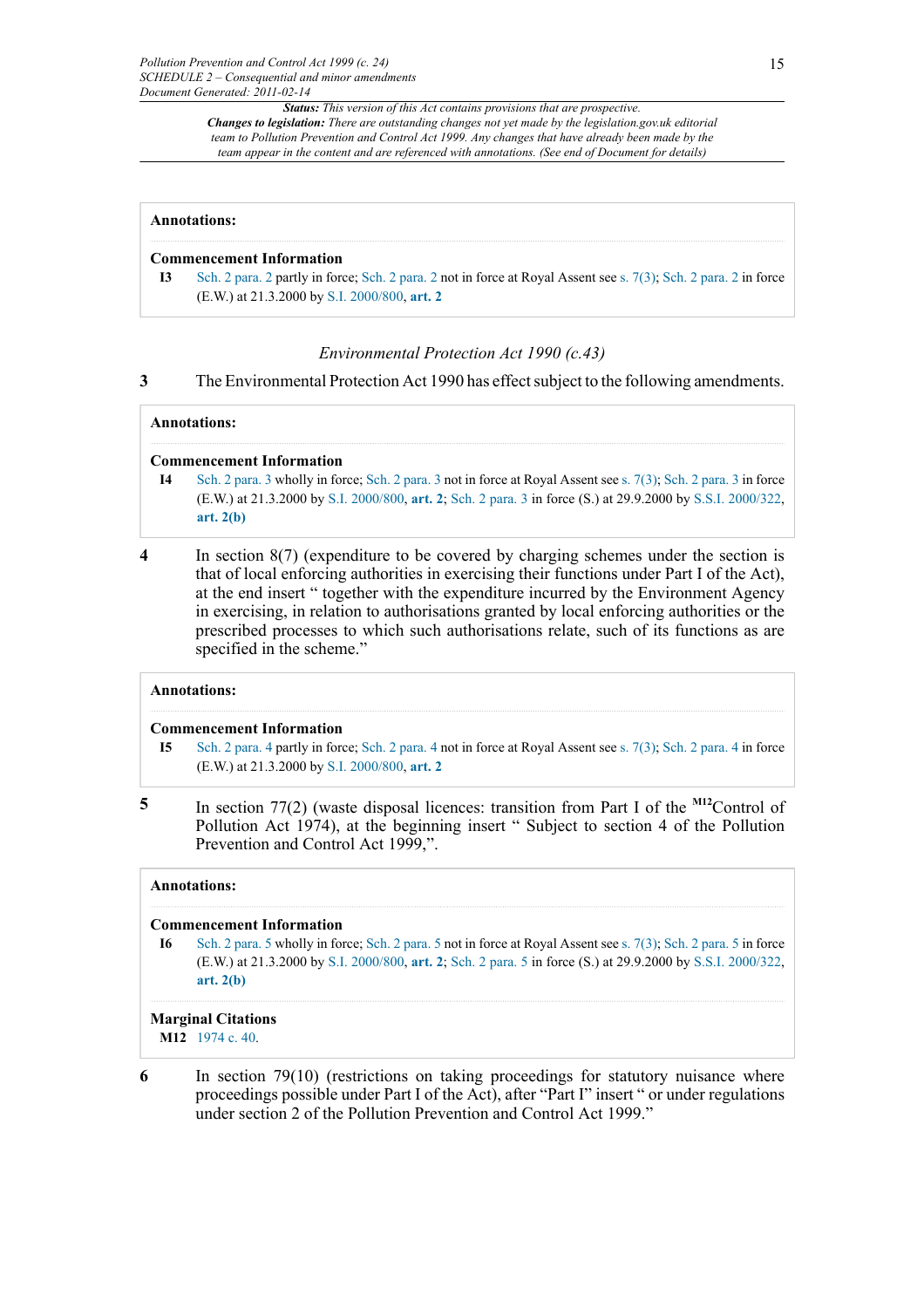#### **Annotations:**

#### **Commencement Information**

**I3** [Sch. 2 para. 2](http://www.legislation.gov.uk/id/ukpga/1999/24/schedule/2/paragraph/2) partly in force; [Sch. 2 para. 2](http://www.legislation.gov.uk/id/ukpga/1999/24/schedule/2/paragraph/2) not in force at Royal Assent see [s. 7\(3\)](http://www.legislation.gov.uk/id/ukpga/1999/24/section/7/3); [Sch. 2 para. 2](http://www.legislation.gov.uk/id/ukpga/1999/24/schedule/2/paragraph/2) in force (E.W.) at 21.3.2000 by [S.I. 2000/800,](http://www.legislation.gov.uk/id/uksi/2000/800) **[art. 2](http://www.legislation.gov.uk/id/uksi/2000/800/article/2)**

#### *Environmental Protection Act 1990 (c.43)*

**3** The Environmental Protection Act 1990 has effect subject to the following amendments.

#### **Annotations:**

#### **Commencement Information**

- **I4** [Sch. 2 para. 3](http://www.legislation.gov.uk/id/ukpga/1999/24/schedule/2/paragraph/3) wholly in force; [Sch. 2 para. 3](http://www.legislation.gov.uk/id/ukpga/1999/24/schedule/2/paragraph/3) not in force at Royal Assent see [s. 7\(3\)](http://www.legislation.gov.uk/id/ukpga/1999/24/section/7/3); [Sch. 2 para. 3](http://www.legislation.gov.uk/id/ukpga/1999/24/schedule/2/paragraph/3) in force (E.W.) at 21.3.2000 by [S.I. 2000/800](http://www.legislation.gov.uk/id/uksi/2000/800), **[art. 2](http://www.legislation.gov.uk/id/uksi/2000/800/article/2)**; [Sch. 2 para. 3](http://www.legislation.gov.uk/id/ukpga/1999/24/schedule/2/paragraph/3) in force (S.) at 29.9.2000 by [S.S.I. 2000/322](http://www.legislation.gov.uk/id/ssi/2000/322), **[art. 2\(b\)](http://www.legislation.gov.uk/id/ssi/2000/322/article/2/b)**
- **4** In section 8(7) (expenditure to be covered by charging schemes under the section is that of local enforcing authorities in exercising their functions under Part I of the Act), at the end insert " together with the expenditure incurred by the Environment Agency in exercising, in relation to authorisations granted by local enforcing authorities or the prescribed processes to which such authorisations relate, such of its functions as are specified in the scheme."

## **Annotations:**

#### **Commencement Information**

- <span id="page-14-1"></span>**I5** [Sch. 2 para. 4](http://www.legislation.gov.uk/id/ukpga/1999/24/schedule/2/paragraph/4) partly in force; [Sch. 2 para. 4](http://www.legislation.gov.uk/id/ukpga/1999/24/schedule/2/paragraph/4) not in force at Royal Assent see [s. 7\(3\)](http://www.legislation.gov.uk/id/ukpga/1999/24/section/7/3); [Sch. 2 para. 4](http://www.legislation.gov.uk/id/ukpga/1999/24/schedule/2/paragraph/4) in force (E.W.) at 21.3.2000 by [S.I. 2000/800,](http://www.legislation.gov.uk/id/uksi/2000/800) **[art. 2](http://www.legislation.gov.uk/id/uksi/2000/800/article/2)**
- **5** In section 77(2) (waste disposal licences: transition from Part I of the **[M12](#page-14-0)**Control of Pollution Act 1974), at the beginning insert " Subject to section 4 of the Pollution Prevention and Control Act 1999,".

#### **Annotations:**

## **Commencement Information**

**I6** [Sch. 2 para. 5](http://www.legislation.gov.uk/id/ukpga/1999/24/schedule/2/paragraph/5) wholly in force; [Sch. 2 para. 5](http://www.legislation.gov.uk/id/ukpga/1999/24/schedule/2/paragraph/5) not in force at Royal Assent see [s. 7\(3\)](http://www.legislation.gov.uk/id/ukpga/1999/24/section/7/3); [Sch. 2 para. 5](http://www.legislation.gov.uk/id/ukpga/1999/24/schedule/2/paragraph/5) in force (E.W.) at 21.3.2000 by [S.I. 2000/800](http://www.legislation.gov.uk/id/uksi/2000/800), **[art. 2](http://www.legislation.gov.uk/id/uksi/2000/800/article/2)**; [Sch. 2 para. 5](http://www.legislation.gov.uk/id/ukpga/1999/24/schedule/2/paragraph/5) in force (S.) at 29.9.2000 by [S.S.I. 2000/322](http://www.legislation.gov.uk/id/ssi/2000/322), **[art. 2\(b\)](http://www.legislation.gov.uk/id/ssi/2000/322/article/2/b)**

#### **Marginal Citations**

<span id="page-14-0"></span>**[M12](#page-14-1)** [1974 c. 40](http://www.legislation.gov.uk/id/ukpga/1974/40).

**6** In section 79(10) (restrictions on taking proceedings for statutory nuisance where proceedings possible under Part I of the Act), after "Part I" insert " or under regulations under section 2 of the Pollution Prevention and Control Act 1999."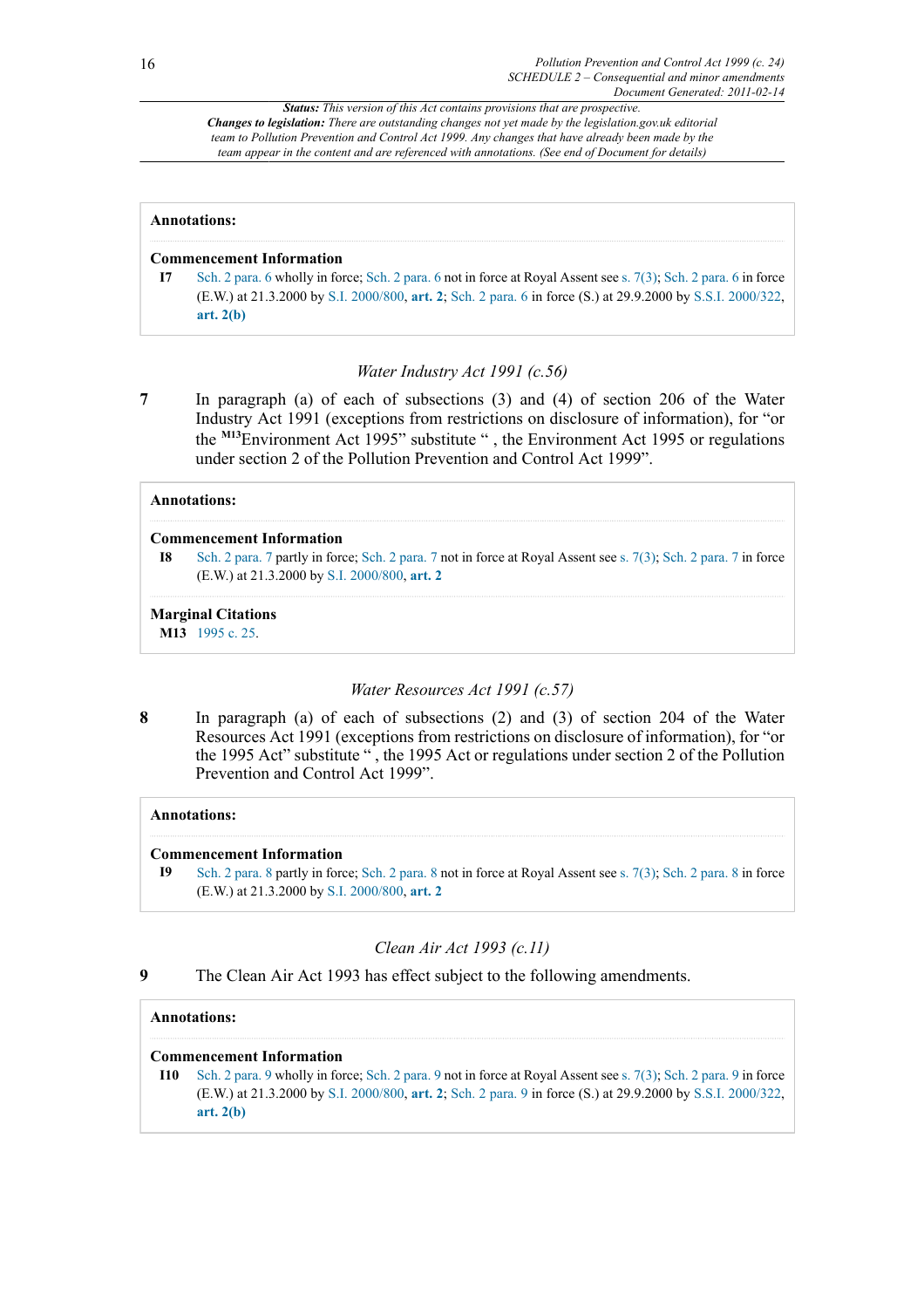#### **Annotations:**

#### **Commencement Information**

**I7** [Sch. 2 para. 6](http://www.legislation.gov.uk/id/ukpga/1999/24/schedule/2/paragraph/6) wholly in force; [Sch. 2 para. 6](http://www.legislation.gov.uk/id/ukpga/1999/24/schedule/2/paragraph/6) not in force at Royal Assent see [s. 7\(3\)](http://www.legislation.gov.uk/id/ukpga/1999/24/section/7/3); [Sch. 2 para. 6](http://www.legislation.gov.uk/id/ukpga/1999/24/schedule/2/paragraph/6) in force (E.W.) at 21.3.2000 by [S.I. 2000/800](http://www.legislation.gov.uk/id/uksi/2000/800), **[art. 2](http://www.legislation.gov.uk/id/uksi/2000/800/article/2)**; [Sch. 2 para. 6](http://www.legislation.gov.uk/id/ukpga/1999/24/schedule/2/paragraph/6) in force (S.) at 29.9.2000 by [S.S.I. 2000/322](http://www.legislation.gov.uk/id/ssi/2000/322), **[art. 2\(b\)](http://www.legislation.gov.uk/id/ssi/2000/322/article/2/b)**

## *Water Industry Act 1991 (c.56)*

<span id="page-15-1"></span>**7** In paragraph (a) of each of subsections (3) and (4) of section 206 of the Water Industry Act 1991 (exceptions from restrictions on disclosure of information), for "or the **[M13](#page-15-0)**Environment Act 1995" substitute " , the Environment Act 1995 or regulations under section 2 of the Pollution Prevention and Control Act 1999".

## **Annotations:**

## **Commencement Information**

**I8** [Sch. 2 para. 7](http://www.legislation.gov.uk/id/ukpga/1999/24/schedule/2/paragraph/7) partly in force; [Sch. 2 para. 7](http://www.legislation.gov.uk/id/ukpga/1999/24/schedule/2/paragraph/7) not in force at Royal Assent see [s. 7\(3\)](http://www.legislation.gov.uk/id/ukpga/1999/24/section/7/3); [Sch. 2 para. 7](http://www.legislation.gov.uk/id/ukpga/1999/24/schedule/2/paragraph/7) in force (E.W.) at 21.3.2000 by [S.I. 2000/800,](http://www.legislation.gov.uk/id/uksi/2000/800) **[art. 2](http://www.legislation.gov.uk/id/uksi/2000/800/article/2)**

## **Marginal Citations**

<span id="page-15-0"></span>**[M13](#page-15-1)** [1995 c. 25](http://www.legislation.gov.uk/id/ukpga/1995/25).

## *Water Resources Act 1991 (c.57)*

**8** In paragraph (a) of each of subsections (2) and (3) of section 204 of the Water Resources Act 1991 (exceptions from restrictions on disclosure of information), for "or the 1995 Act" substitute " , the 1995 Act or regulations under section 2 of the Pollution Prevention and Control Act 1999".

## **Annotations:**

## **Commencement Information**

**I9** [Sch. 2 para. 8](http://www.legislation.gov.uk/id/ukpga/1999/24/schedule/2/paragraph/8) partly in force; [Sch. 2 para. 8](http://www.legislation.gov.uk/id/ukpga/1999/24/schedule/2/paragraph/8) not in force at Royal Assent see [s. 7\(3\)](http://www.legislation.gov.uk/id/ukpga/1999/24/section/7/3); [Sch. 2 para. 8](http://www.legislation.gov.uk/id/ukpga/1999/24/schedule/2/paragraph/8) in force (E.W.) at 21.3.2000 by [S.I. 2000/800,](http://www.legislation.gov.uk/id/uksi/2000/800) **[art. 2](http://www.legislation.gov.uk/id/uksi/2000/800/article/2)**

## *Clean Air Act 1993 (c.11)*

**9** The Clean Air Act 1993 has effect subject to the following amendments.

## **Annotations:**

## **Commencement Information**

**I10** [Sch. 2 para. 9](http://www.legislation.gov.uk/id/ukpga/1999/24/schedule/2/paragraph/9) wholly in force; [Sch. 2 para. 9](http://www.legislation.gov.uk/id/ukpga/1999/24/schedule/2/paragraph/9) not in force at Royal Assent see [s. 7\(3\)](http://www.legislation.gov.uk/id/ukpga/1999/24/section/7/3); [Sch. 2 para. 9](http://www.legislation.gov.uk/id/ukpga/1999/24/schedule/2/paragraph/9) in force (E.W.) at 21.3.2000 by [S.I. 2000/800](http://www.legislation.gov.uk/id/uksi/2000/800), **[art. 2](http://www.legislation.gov.uk/id/uksi/2000/800/article/2)**; [Sch. 2 para. 9](http://www.legislation.gov.uk/id/ukpga/1999/24/schedule/2/paragraph/9) in force (S.) at 29.9.2000 by [S.S.I. 2000/322](http://www.legislation.gov.uk/id/ssi/2000/322), **[art. 2\(b\)](http://www.legislation.gov.uk/id/ssi/2000/322/article/2/b)**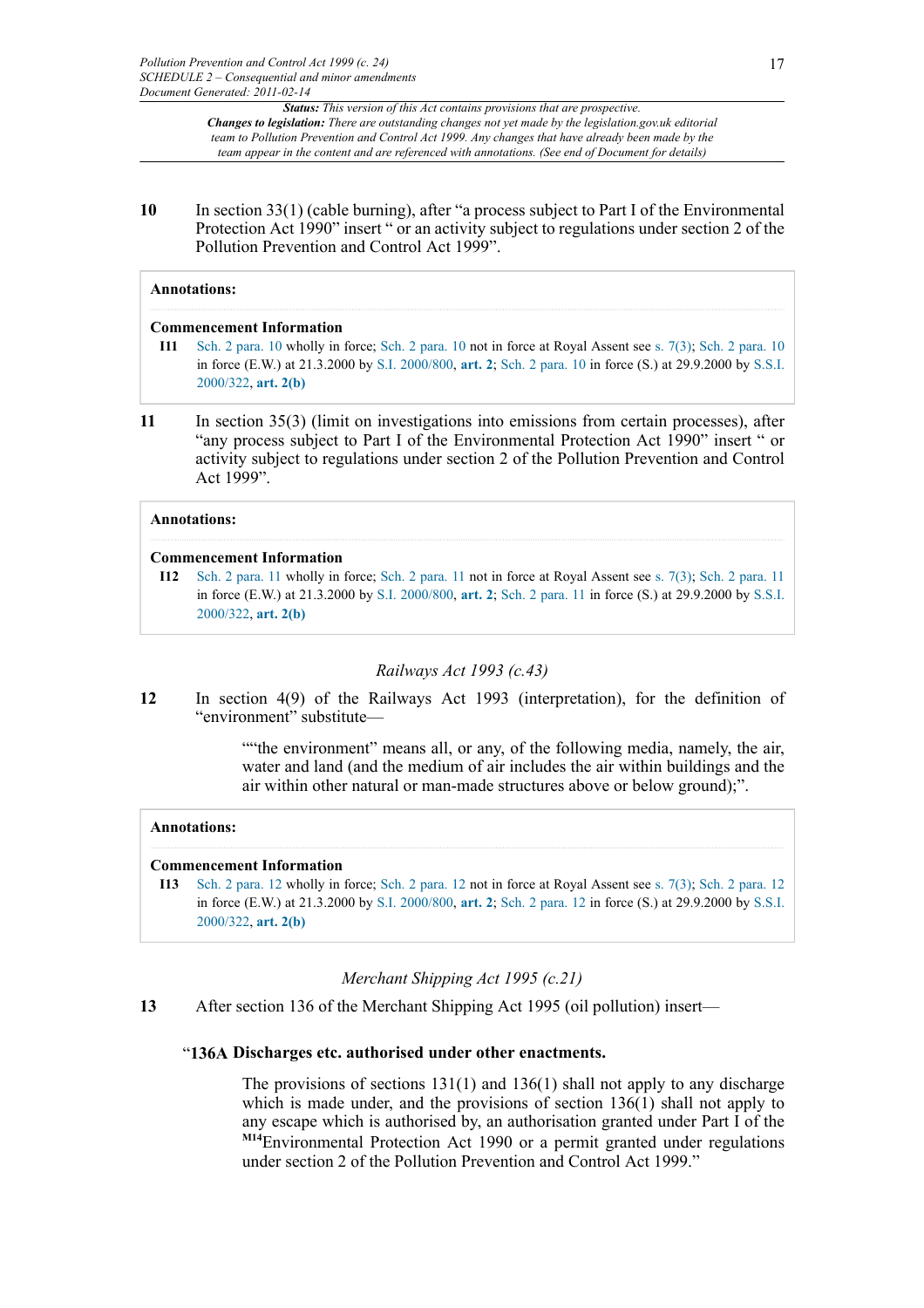**10** In section 33(1) (cable burning), after "a process subject to Part I of the Environmental Protection Act 1990" insert " or an activity subject to regulations under section 2 of the Pollution Prevention and Control Act 1999".

#### **Annotations:**

#### **Commencement Information**

- **I11** [Sch. 2 para. 10](http://www.legislation.gov.uk/id/ukpga/1999/24/schedule/2/paragraph/10) wholly in force; [Sch. 2 para. 10](http://www.legislation.gov.uk/id/ukpga/1999/24/schedule/2/paragraph/10) not in force at Royal Assent see [s. 7\(3\)](http://www.legislation.gov.uk/id/ukpga/1999/24/section/7/3); [Sch. 2 para. 10](http://www.legislation.gov.uk/id/ukpga/1999/24/schedule/2/paragraph/10) in force (E.W.) at 21.3.2000 by [S.I. 2000/800,](http://www.legislation.gov.uk/id/uksi/2000/800) **[art. 2](http://www.legislation.gov.uk/id/uksi/2000/800/article/2)**; [Sch. 2 para. 10](http://www.legislation.gov.uk/id/ukpga/1999/24/schedule/2/paragraph/10) in force (S.) at 29.9.2000 by [S.S.I.](http://www.legislation.gov.uk/id/ssi/2000/322) [2000/322,](http://www.legislation.gov.uk/id/ssi/2000/322) **[art. 2\(b\)](http://www.legislation.gov.uk/id/ssi/2000/322/article/2/b)**
- **11** In section 35(3) (limit on investigations into emissions from certain processes), after "any process subject to Part I of the Environmental Protection Act 1990" insert " or activity subject to regulations under section 2 of the Pollution Prevention and Control Act 1999".

## **Annotations:**

#### **Commencement Information**

**I12** [Sch. 2 para. 11](http://www.legislation.gov.uk/id/ukpga/1999/24/schedule/2/paragraph/11) wholly in force; [Sch. 2 para. 11](http://www.legislation.gov.uk/id/ukpga/1999/24/schedule/2/paragraph/11) not in force at Royal Assent see [s. 7\(3\)](http://www.legislation.gov.uk/id/ukpga/1999/24/section/7/3); [Sch. 2 para. 11](http://www.legislation.gov.uk/id/ukpga/1999/24/schedule/2/paragraph/11) in force (E.W.) at 21.3.2000 by [S.I. 2000/800,](http://www.legislation.gov.uk/id/uksi/2000/800) **[art. 2](http://www.legislation.gov.uk/id/uksi/2000/800/article/2)**; [Sch. 2 para. 11](http://www.legislation.gov.uk/id/ukpga/1999/24/schedule/2/paragraph/11) in force (S.) at 29.9.2000 by [S.S.I.](http://www.legislation.gov.uk/id/ssi/2000/322) [2000/322,](http://www.legislation.gov.uk/id/ssi/2000/322) **[art. 2\(b\)](http://www.legislation.gov.uk/id/ssi/2000/322/article/2/b)**

## *Railways Act 1993 (c.43)*

**12** In section 4(9) of the Railways Act 1993 (interpretation), for the definition of "environment" substitute—

> ""the environment" means all, or any, of the following media, namely, the air, water and land (and the medium of air includes the air within buildings and the air within other natural or man-made structures above or below ground);".

## **Annotations:**

## **Commencement Information**

**I13** [Sch. 2 para. 12](http://www.legislation.gov.uk/id/ukpga/1999/24/schedule/2/paragraph/12) wholly in force; [Sch. 2 para. 12](http://www.legislation.gov.uk/id/ukpga/1999/24/schedule/2/paragraph/12) not in force at Royal Assent see [s. 7\(3\)](http://www.legislation.gov.uk/id/ukpga/1999/24/section/7/3); [Sch. 2 para. 12](http://www.legislation.gov.uk/id/ukpga/1999/24/schedule/2/paragraph/12) in force (E.W.) at 21.3.2000 by [S.I. 2000/800,](http://www.legislation.gov.uk/id/uksi/2000/800) **[art. 2](http://www.legislation.gov.uk/id/uksi/2000/800/article/2)**; [Sch. 2 para. 12](http://www.legislation.gov.uk/id/ukpga/1999/24/schedule/2/paragraph/12) in force (S.) at 29.9.2000 by [S.S.I.](http://www.legislation.gov.uk/id/ssi/2000/322) [2000/322,](http://www.legislation.gov.uk/id/ssi/2000/322) **[art. 2\(b\)](http://www.legislation.gov.uk/id/ssi/2000/322/article/2/b)**

## *Merchant Shipping Act 1995 (c.21)*

**13** After section 136 of the Merchant Shipping Act 1995 (oil pollution) insert—

## "**136A Discharges etc. authorised under other enactments.**

<span id="page-16-0"></span>The provisions of sections  $131(1)$  and  $136(1)$  shall not apply to any discharge which is made under, and the provisions of section 136(1) shall not apply to any escape which is authorised by, an authorisation granted under Part I of the **[M14](#page-17-0)**Environmental Protection Act 1990 or a permit granted under regulations under section 2 of the Pollution Prevention and Control Act 1999."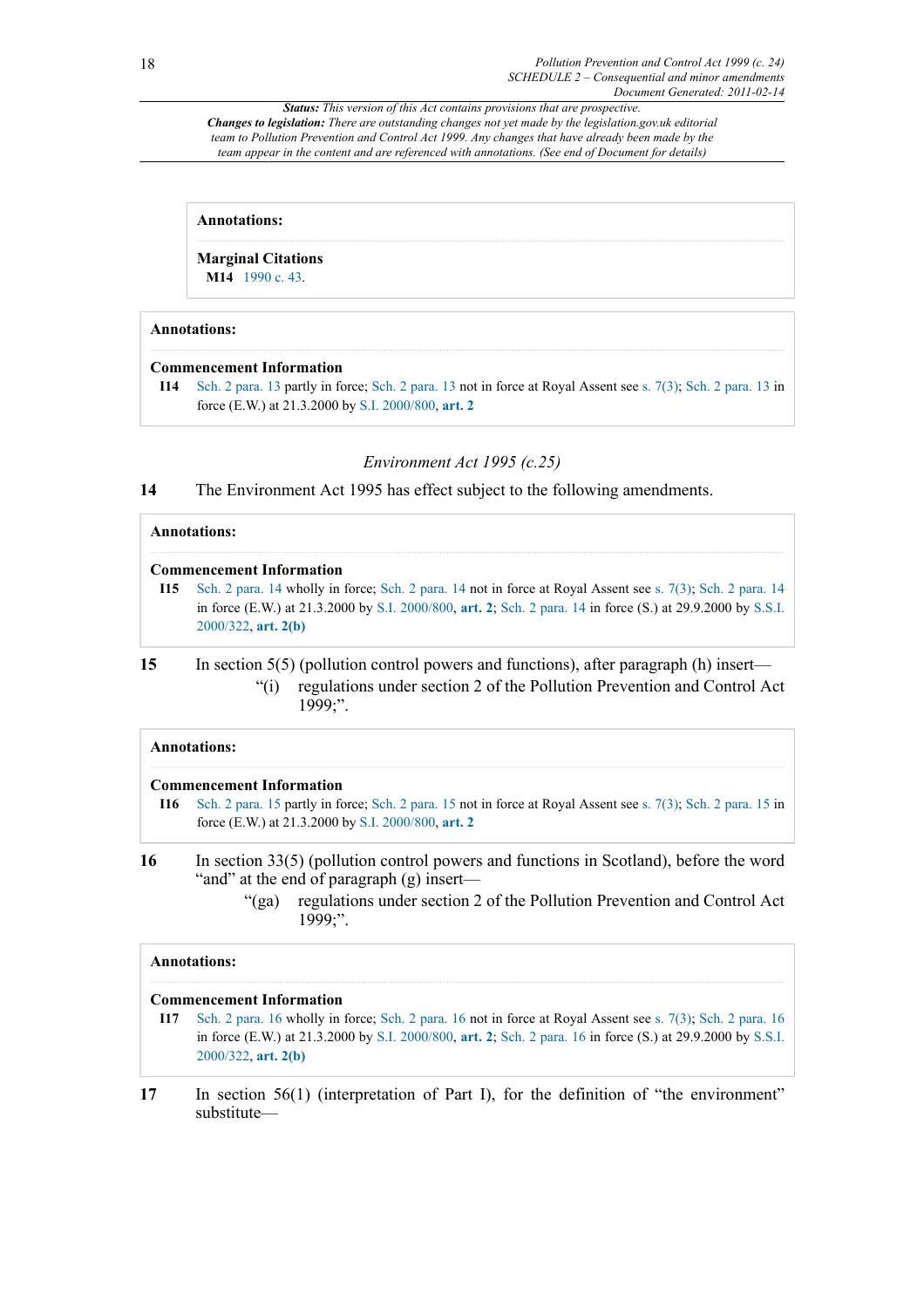#### **Annotations:**

**Marginal Citations**

**[M14](#page-16-0)** [1990 c. 43](http://www.legislation.gov.uk/id/ukpga/1990/43).

## <span id="page-17-0"></span>**Annotations:**

## **Commencement Information**

**I14** [Sch. 2 para. 13](http://www.legislation.gov.uk/id/ukpga/1999/24/schedule/2/paragraph/13) partly in force; [Sch. 2 para. 13](http://www.legislation.gov.uk/id/ukpga/1999/24/schedule/2/paragraph/13) not in force at Royal Assent see [s. 7\(3\);](http://www.legislation.gov.uk/id/ukpga/1999/24/section/7/3) [Sch. 2 para. 13](http://www.legislation.gov.uk/id/ukpga/1999/24/schedule/2/paragraph/13) in force (E.W.) at 21.3.2000 by [S.I. 2000/800](http://www.legislation.gov.uk/id/uksi/2000/800), **[art. 2](http://www.legislation.gov.uk/id/uksi/2000/800/article/2)**

## *Environment Act 1995 (c.25)*

**14** The Environment Act 1995 has effect subject to the following amendments.

## **Annotations: Commencement Information I15** [Sch. 2 para. 14](http://www.legislation.gov.uk/id/ukpga/1999/24/schedule/2/paragraph/14) wholly in force; [Sch. 2 para. 14](http://www.legislation.gov.uk/id/ukpga/1999/24/schedule/2/paragraph/14) not in force at Royal Assent see [s. 7\(3\)](http://www.legislation.gov.uk/id/ukpga/1999/24/section/7/3); [Sch. 2 para. 14](http://www.legislation.gov.uk/id/ukpga/1999/24/schedule/2/paragraph/14) in force (E.W.) at 21.3.2000 by [S.I. 2000/800,](http://www.legislation.gov.uk/id/uksi/2000/800) **[art. 2](http://www.legislation.gov.uk/id/uksi/2000/800/article/2)**; [Sch. 2 para. 14](http://www.legislation.gov.uk/id/ukpga/1999/24/schedule/2/paragraph/14) in force (S.) at 29.9.2000 by [S.S.I.](http://www.legislation.gov.uk/id/ssi/2000/322) [2000/322,](http://www.legislation.gov.uk/id/ssi/2000/322) **[art. 2\(b\)](http://www.legislation.gov.uk/id/ssi/2000/322/article/2/b)**

## **15** In section 5(5) (pollution control powers and functions), after paragraph (h) insert— "(i) regulations under section 2 of the Pollution Prevention and Control Act 1999;".

## **Annotations:**

## **Commencement Information**

**I16** [Sch. 2 para. 15](http://www.legislation.gov.uk/id/ukpga/1999/24/schedule/2/paragraph/15) partly in force; [Sch. 2 para. 15](http://www.legislation.gov.uk/id/ukpga/1999/24/schedule/2/paragraph/15) not in force at Royal Assent see [s. 7\(3\);](http://www.legislation.gov.uk/id/ukpga/1999/24/section/7/3) [Sch. 2 para. 15](http://www.legislation.gov.uk/id/ukpga/1999/24/schedule/2/paragraph/15) in force (E.W.) at 21.3.2000 by [S.I. 2000/800](http://www.legislation.gov.uk/id/uksi/2000/800), **[art. 2](http://www.legislation.gov.uk/id/uksi/2000/800/article/2)**

- **16** In section 33(5) (pollution control powers and functions in Scotland), before the word "and" at the end of paragraph (g) insert—
	- "(ga) regulations under section 2 of the Pollution Prevention and Control Act 1999;".

## **Annotations:**

## **Commencement Information**

- **I17** [Sch. 2 para. 16](http://www.legislation.gov.uk/id/ukpga/1999/24/schedule/2/paragraph/16) wholly in force; [Sch. 2 para. 16](http://www.legislation.gov.uk/id/ukpga/1999/24/schedule/2/paragraph/16) not in force at Royal Assent see [s. 7\(3\)](http://www.legislation.gov.uk/id/ukpga/1999/24/section/7/3); [Sch. 2 para. 16](http://www.legislation.gov.uk/id/ukpga/1999/24/schedule/2/paragraph/16) in force (E.W.) at 21.3.2000 by [S.I. 2000/800,](http://www.legislation.gov.uk/id/uksi/2000/800) **[art. 2](http://www.legislation.gov.uk/id/uksi/2000/800/article/2)**; [Sch. 2 para. 16](http://www.legislation.gov.uk/id/ukpga/1999/24/schedule/2/paragraph/16) in force (S.) at 29.9.2000 by [S.S.I.](http://www.legislation.gov.uk/id/ssi/2000/322) [2000/322,](http://www.legislation.gov.uk/id/ssi/2000/322) **[art. 2\(b\)](http://www.legislation.gov.uk/id/ssi/2000/322/article/2/b)**
- **17** In section 56(1) (interpretation of Part I), for the definition of "the environment" substitute—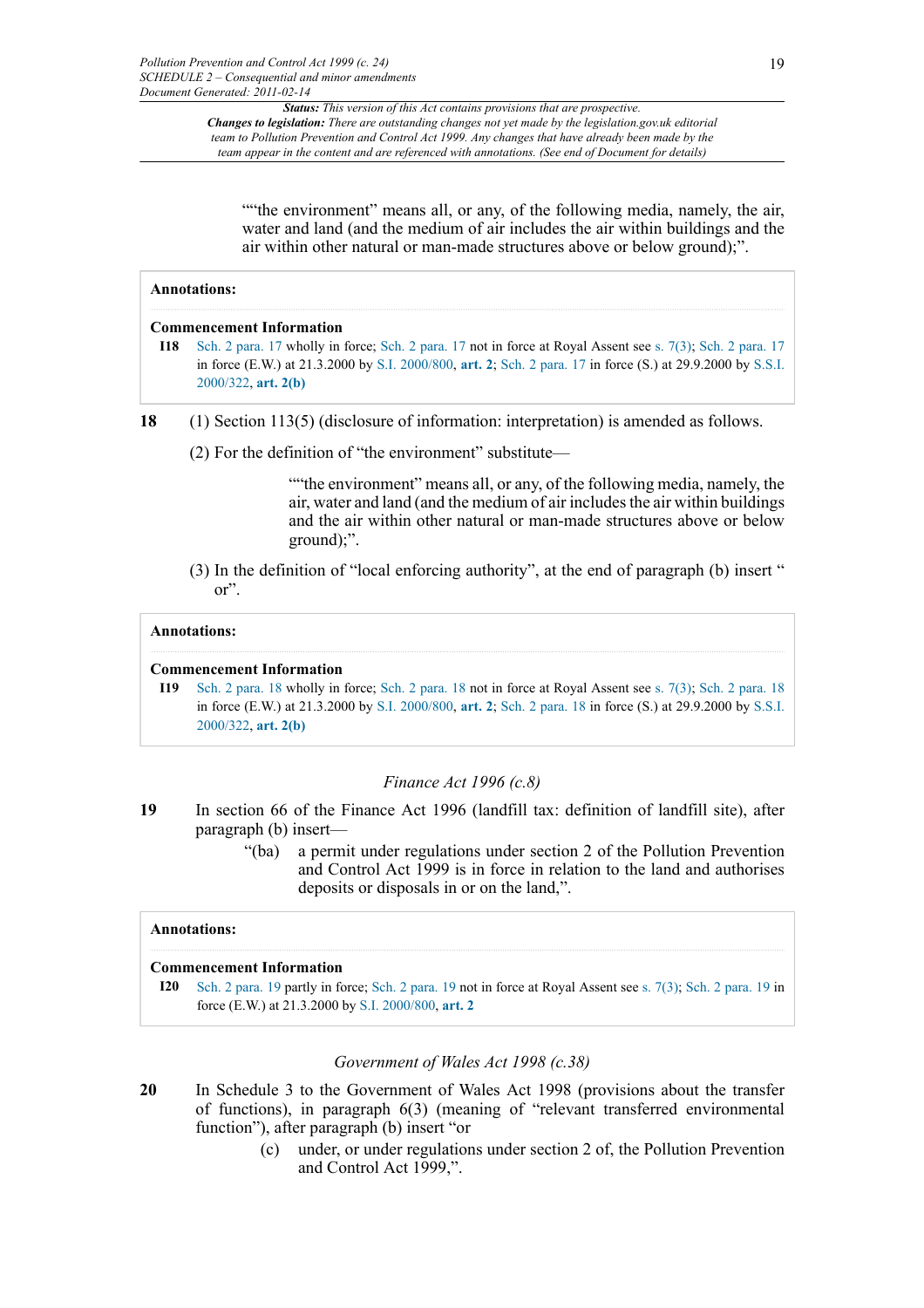""the environment" means all, or any, of the following media, namely, the air, water and land (and the medium of air includes the air within buildings and the air within other natural or man-made structures above or below ground);".

#### **Annotations:**

#### **Commencement Information**

- **I18** [Sch. 2 para. 17](http://www.legislation.gov.uk/id/ukpga/1999/24/schedule/2/paragraph/17) wholly in force; [Sch. 2 para. 17](http://www.legislation.gov.uk/id/ukpga/1999/24/schedule/2/paragraph/17) not in force at Royal Assent see [s. 7\(3\)](http://www.legislation.gov.uk/id/ukpga/1999/24/section/7/3); [Sch. 2 para. 17](http://www.legislation.gov.uk/id/ukpga/1999/24/schedule/2/paragraph/17) in force (E.W.) at 21.3.2000 by [S.I. 2000/800,](http://www.legislation.gov.uk/id/uksi/2000/800) **[art. 2](http://www.legislation.gov.uk/id/uksi/2000/800/article/2)**; [Sch. 2 para. 17](http://www.legislation.gov.uk/id/ukpga/1999/24/schedule/2/paragraph/17) in force (S.) at 29.9.2000 by [S.S.I.](http://www.legislation.gov.uk/id/ssi/2000/322) [2000/322,](http://www.legislation.gov.uk/id/ssi/2000/322) **[art. 2\(b\)](http://www.legislation.gov.uk/id/ssi/2000/322/article/2/b)**
- **18** (1) Section 113(5) (disclosure of information: interpretation) is amended as follows.
	- (2) For the definition of "the environment" substitute—

""the environment" means all, or any, of the following media, namely, the air, water and land (and the medium of air includes the air within buildings and the air within other natural or man-made structures above or below ground);".

(3) In the definition of "local enforcing authority", at the end of paragraph (b) insert " or".

#### **Annotations:**

#### **Commencement Information**

**I19** [Sch. 2 para. 18](http://www.legislation.gov.uk/id/ukpga/1999/24/schedule/2/paragraph/18) wholly in force; [Sch. 2 para. 18](http://www.legislation.gov.uk/id/ukpga/1999/24/schedule/2/paragraph/18) not in force at Royal Assent see [s. 7\(3\)](http://www.legislation.gov.uk/id/ukpga/1999/24/section/7/3); [Sch. 2 para. 18](http://www.legislation.gov.uk/id/ukpga/1999/24/schedule/2/paragraph/18) in force (E.W.) at 21.3.2000 by [S.I. 2000/800,](http://www.legislation.gov.uk/id/uksi/2000/800) **[art. 2](http://www.legislation.gov.uk/id/uksi/2000/800/article/2)**; [Sch. 2 para. 18](http://www.legislation.gov.uk/id/ukpga/1999/24/schedule/2/paragraph/18) in force (S.) at 29.9.2000 by [S.S.I.](http://www.legislation.gov.uk/id/ssi/2000/322) [2000/322,](http://www.legislation.gov.uk/id/ssi/2000/322) **[art. 2\(b\)](http://www.legislation.gov.uk/id/ssi/2000/322/article/2/b)**

## *Finance Act 1996 (c.8)*

- **19** In section 66 of the Finance Act 1996 (landfill tax: definition of landfill site), after paragraph (b) insert—
	- "(ba) a permit under regulations under section 2 of the Pollution Prevention and Control Act 1999 is in force in relation to the land and authorises deposits or disposals in or on the land,".

## **Annotations:**

## **Commencement Information**

**I20** [Sch. 2 para. 19](http://www.legislation.gov.uk/id/ukpga/1999/24/schedule/2/paragraph/19) partly in force; [Sch. 2 para. 19](http://www.legislation.gov.uk/id/ukpga/1999/24/schedule/2/paragraph/19) not in force at Royal Assent see [s. 7\(3\);](http://www.legislation.gov.uk/id/ukpga/1999/24/section/7/3) [Sch. 2 para. 19](http://www.legislation.gov.uk/id/ukpga/1999/24/schedule/2/paragraph/19) in force (E.W.) at 21.3.2000 by [S.I. 2000/800](http://www.legislation.gov.uk/id/uksi/2000/800), **[art. 2](http://www.legislation.gov.uk/id/uksi/2000/800/article/2)**

## *Government of Wales Act 1998 (c.38)*

- **20** In Schedule 3 to the Government of Wales Act 1998 (provisions about the transfer of functions), in paragraph 6(3) (meaning of "relevant transferred environmental function"), after paragraph (b) insert "or
	- (c) under, or under regulations under section 2 of, the Pollution Prevention and Control Act 1999,".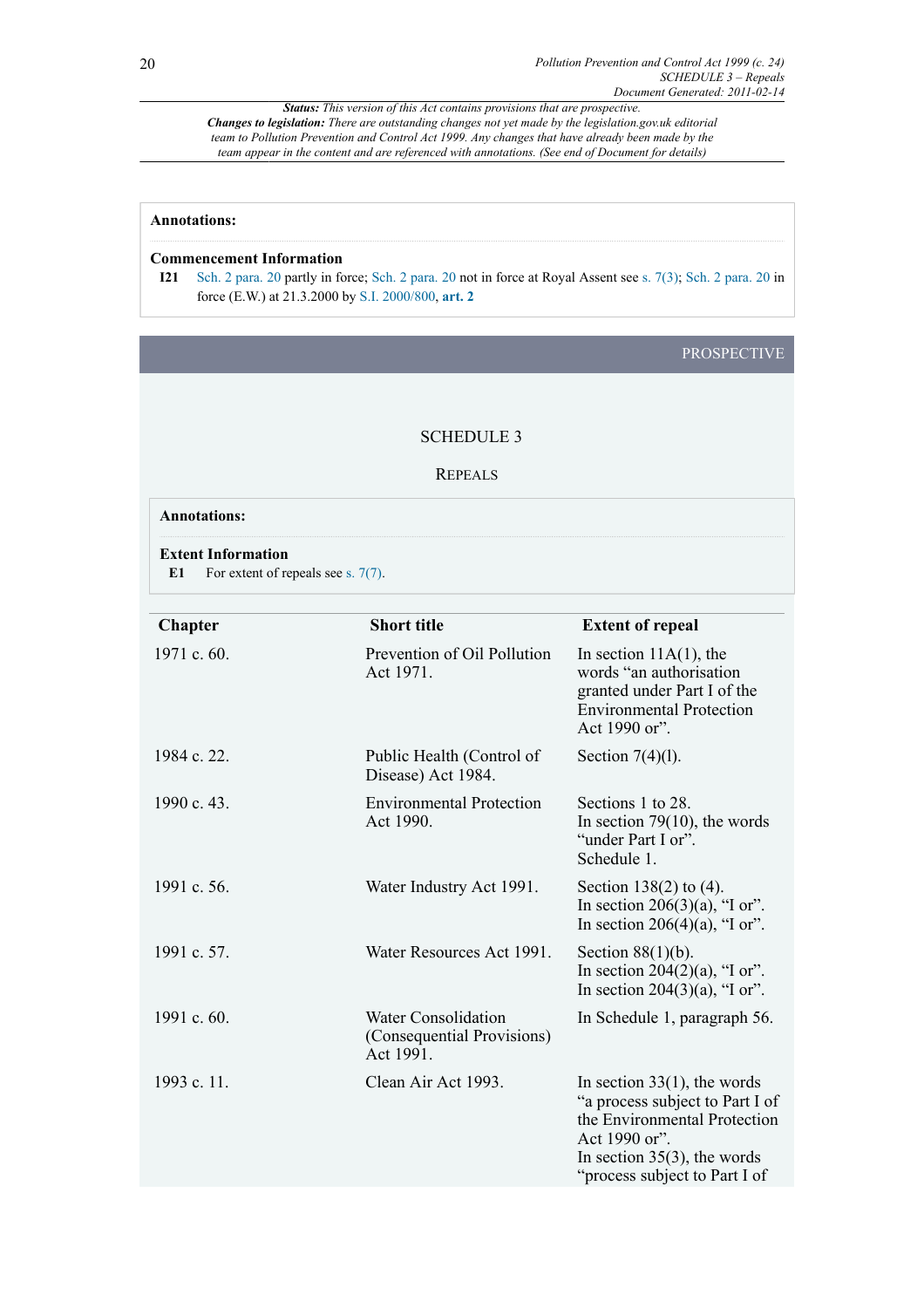## **Annotations:**

## **Commencement Information**

**I21** [Sch. 2 para. 20](http://www.legislation.gov.uk/id/ukpga/1999/24/schedule/2/paragraph/20) partly in force; [Sch. 2 para. 20](http://www.legislation.gov.uk/id/ukpga/1999/24/schedule/2/paragraph/20) not in force at Royal Assent see [s. 7\(3\);](http://www.legislation.gov.uk/id/ukpga/1999/24/section/7/3) [Sch. 2 para. 20](http://www.legislation.gov.uk/id/ukpga/1999/24/schedule/2/paragraph/20) in force (E.W.) at 21.3.2000 by [S.I. 2000/800](http://www.legislation.gov.uk/id/uksi/2000/800), **[art. 2](http://www.legislation.gov.uk/id/uksi/2000/800/article/2)**

## PROSPECTIVE

#### SCHEDULE 3

#### REPEALS

## **Annotations:**

#### **Extent Information**

E1 For extent of repeals see [s. 7\(7\).](http://www.legislation.gov.uk/id/ukpga/1999/24/section/7/7)

| <b>Chapter</b> | <b>Short title</b>                                                    | <b>Extent of repeal</b>                                                                                                                                                               |
|----------------|-----------------------------------------------------------------------|---------------------------------------------------------------------------------------------------------------------------------------------------------------------------------------|
| 1971 c. 60.    | Prevention of Oil Pollution<br>Act 1971.                              | In section $11A(1)$ , the<br>words "an authorisation"<br>granted under Part I of the<br><b>Environmental Protection</b><br>Act 1990 or".                                              |
| 1984 c. 22.    | Public Health (Control of<br>Disease) Act 1984.                       | Section $7(4)(1)$ .                                                                                                                                                                   |
| 1990 c. 43.    | <b>Environmental Protection</b><br>Act 1990.                          | Sections 1 to 28.<br>In section 79 $(10)$ , the words<br>"under Part I or".<br>Schedule 1.                                                                                            |
| 1991 c. 56.    | Water Industry Act 1991.                                              | Section 138(2) to $(4)$ .<br>In section 206(3)(a), "I or".<br>In section 206(4)(a), "I or".                                                                                           |
| 1991 c. 57.    | Water Resources Act 1991.                                             | Section $88(1)(b)$ .<br>In section 204(2)(a), "I or".<br>In section $204(3)(a)$ , "I or".                                                                                             |
| 1991 c. 60.    | <b>Water Consolidation</b><br>(Consequential Provisions)<br>Act 1991. | In Schedule 1, paragraph 56.                                                                                                                                                          |
| 1993 c. 11.    | Clean Air Act 1993.                                                   | In section $33(1)$ , the words<br>"a process subject to Part I of<br>the Environmental Protection<br>Act 1990 or".<br>In section $35(3)$ , the words<br>"process subject to Part I of |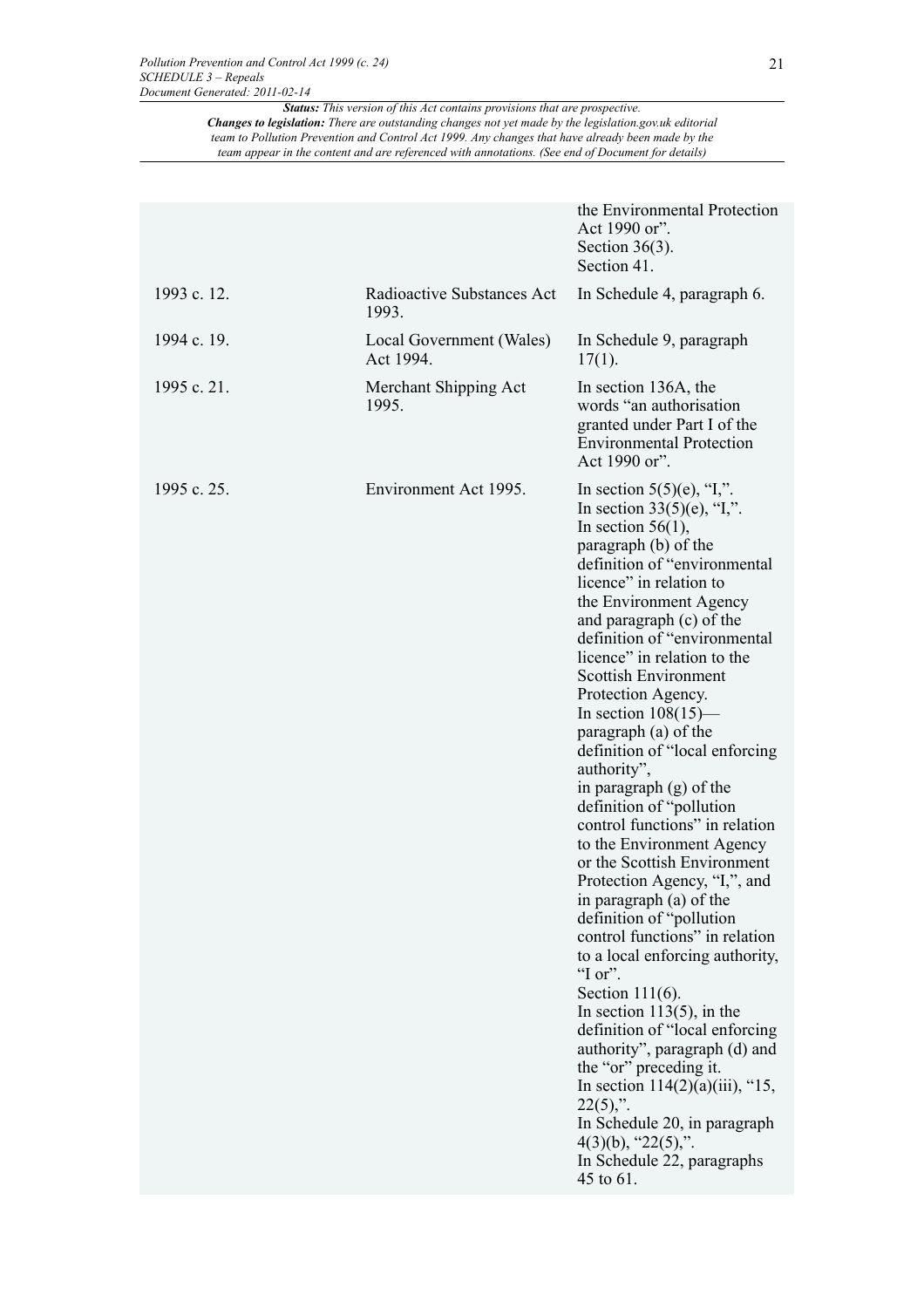|             |                                       | the Environmental Protection<br>Act 1990 or".<br>Section $36(3)$ .<br>Section 41.                                                                                                                                                                                                                                                                                                                                                                                                                                                                                                                                                                                                                                                                                                                                                                                                                                                                                                                                                                                                                      |
|-------------|---------------------------------------|--------------------------------------------------------------------------------------------------------------------------------------------------------------------------------------------------------------------------------------------------------------------------------------------------------------------------------------------------------------------------------------------------------------------------------------------------------------------------------------------------------------------------------------------------------------------------------------------------------------------------------------------------------------------------------------------------------------------------------------------------------------------------------------------------------------------------------------------------------------------------------------------------------------------------------------------------------------------------------------------------------------------------------------------------------------------------------------------------------|
| 1993 c. 12. | Radioactive Substances Act<br>1993.   | In Schedule 4, paragraph 6.                                                                                                                                                                                                                                                                                                                                                                                                                                                                                                                                                                                                                                                                                                                                                                                                                                                                                                                                                                                                                                                                            |
| 1994 c. 19. | Local Government (Wales)<br>Act 1994. | In Schedule 9, paragraph<br>$17(1)$ .                                                                                                                                                                                                                                                                                                                                                                                                                                                                                                                                                                                                                                                                                                                                                                                                                                                                                                                                                                                                                                                                  |
| 1995 c. 21. | Merchant Shipping Act<br>1995.        | In section 136A, the<br>words "an authorisation"<br>granted under Part I of the<br><b>Environmental Protection</b><br>Act 1990 or".                                                                                                                                                                                                                                                                                                                                                                                                                                                                                                                                                                                                                                                                                                                                                                                                                                                                                                                                                                    |
| 1995 c. 25. | Environment Act 1995.                 | In section $5(5)(e)$ , "I,".<br>In section $33(5)(e)$ , "I,".<br>In section $56(1)$ ,<br>paragraph (b) of the<br>definition of "environmental<br>licence" in relation to<br>the Environment Agency<br>and paragraph (c) of the<br>definition of "environmental<br>licence" in relation to the<br><b>Scottish Environment</b><br>Protection Agency.<br>In section $108(15)$ —<br>paragraph (a) of the<br>definition of "local enforcing"<br>authority",<br>in paragraph (g) of the<br>definition of "pollution"<br>control functions" in relation<br>to the Environment Agency<br>or the Scottish Environment<br>Protection Agency, "I,", and<br>in paragraph (a) of the<br>definition of "pollution<br>control functions" in relation<br>to a local enforcing authority,<br>" $I$ or".<br>Section $111(6)$ .<br>In section $113(5)$ , in the<br>definition of "local enforcing<br>authority", paragraph (d) and<br>the "or" preceding it.<br>In section $114(2)(a)(iii)$ , "15,<br>$22(5)$ ,".<br>In Schedule 20, in paragraph<br>$4(3)(b)$ , " $22(5)$ ,".<br>In Schedule 22, paragraphs<br>45 to 61. |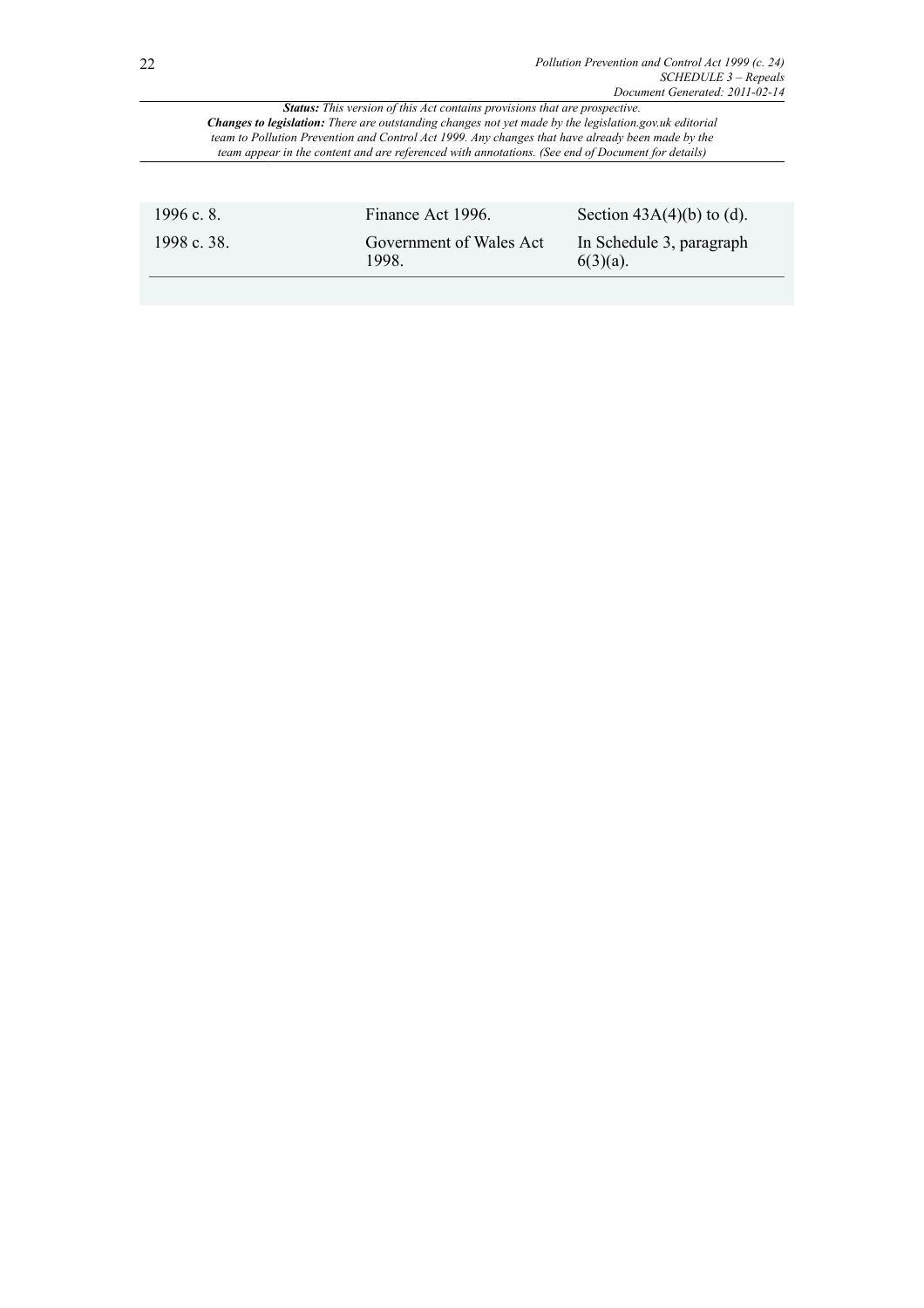| 1996 c. 8.  | Finance Act 1996.               | Section $43A(4)(b)$ to (d).             |
|-------------|---------------------------------|-----------------------------------------|
| 1998 c. 38. | Government of Wales Act<br>1998 | In Schedule 3, paragraph<br>$6(3)(a)$ . |
|             |                                 |                                         |